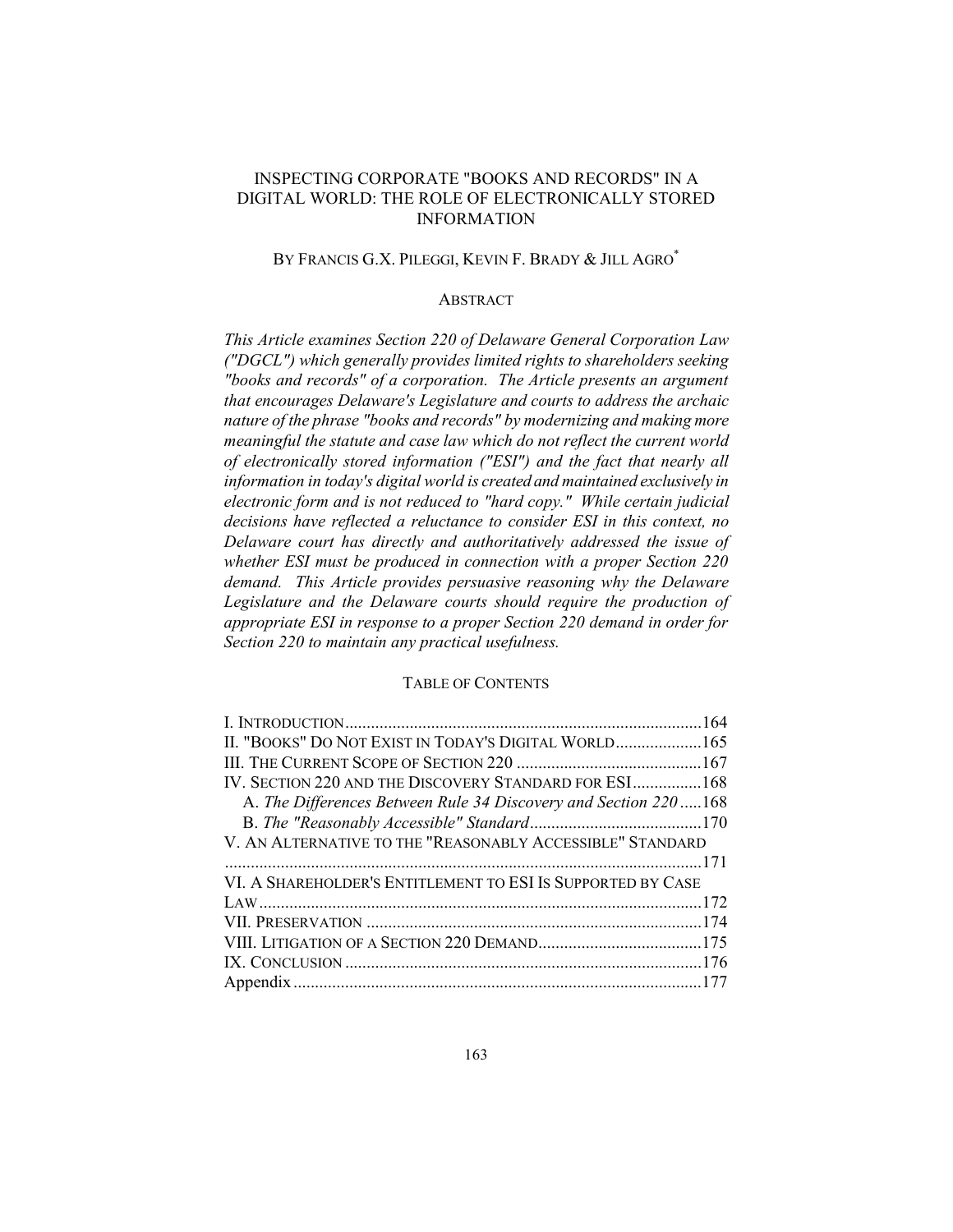# INSPECTING CORPORATE "BOOKS AND RECORDS" IN A DIGITAL WORLD: THE ROLE OF ELECTRONICALLY STORED **INFORMATION**

# BY FRANCIS G.X. PILEGGI, KEVIN F. BRADY & JILL AGRO\*

## **ABSTRACT**

This Article examines Section 220 of Delaware General Corporation Law ("DGCL") which generally provides limited rights to shareholders seeking "books and records" of a corporation. The Article presents an argument that encourages Delaware's Legislature and courts to address the archaic nature of the phrase "books and records" by modernizing and making more meaningful the statute and case law which do not reflect the current world of electronically stored information ("ESI") and the fact that nearly all information in today's digital world is created and maintained exclusively in electronic form and is not reduced to "hard copy." While certain judicial decisions have reflected a reluctance to consider ESI in this context, no Delaware court has directly and authoritatively addressed the issue of whether ESI must be produced in connection with a proper Section 220 demand. This Article provides persuasive reasoning why the Delaware Legislature and the Delaware courts should require the production of appropriate ESI in response to a proper Section 220 demand in order for Section 220 to maintain any practical usefulness.

#### **TABLE OF CONTENTS**

| II. "BOOKS" DO NOT EXIST IN TODAY'S DIGITAL WORLD 165           |  |
|-----------------------------------------------------------------|--|
|                                                                 |  |
| IV. SECTION 220 AND THE DISCOVERY STANDARD FOR ESI168           |  |
| A. The Differences Between Rule 34 Discovery and Section 220168 |  |
|                                                                 |  |
| V. AN ALTERNATIVE TO THE "REASONABLY ACCESSIBLE" STANDARD       |  |
|                                                                 |  |
| VI. A SHAREHOLDER'S ENTITLEMENT TO ESI IS SUPPORTED BY CASE     |  |
|                                                                 |  |
|                                                                 |  |
|                                                                 |  |
|                                                                 |  |
|                                                                 |  |
|                                                                 |  |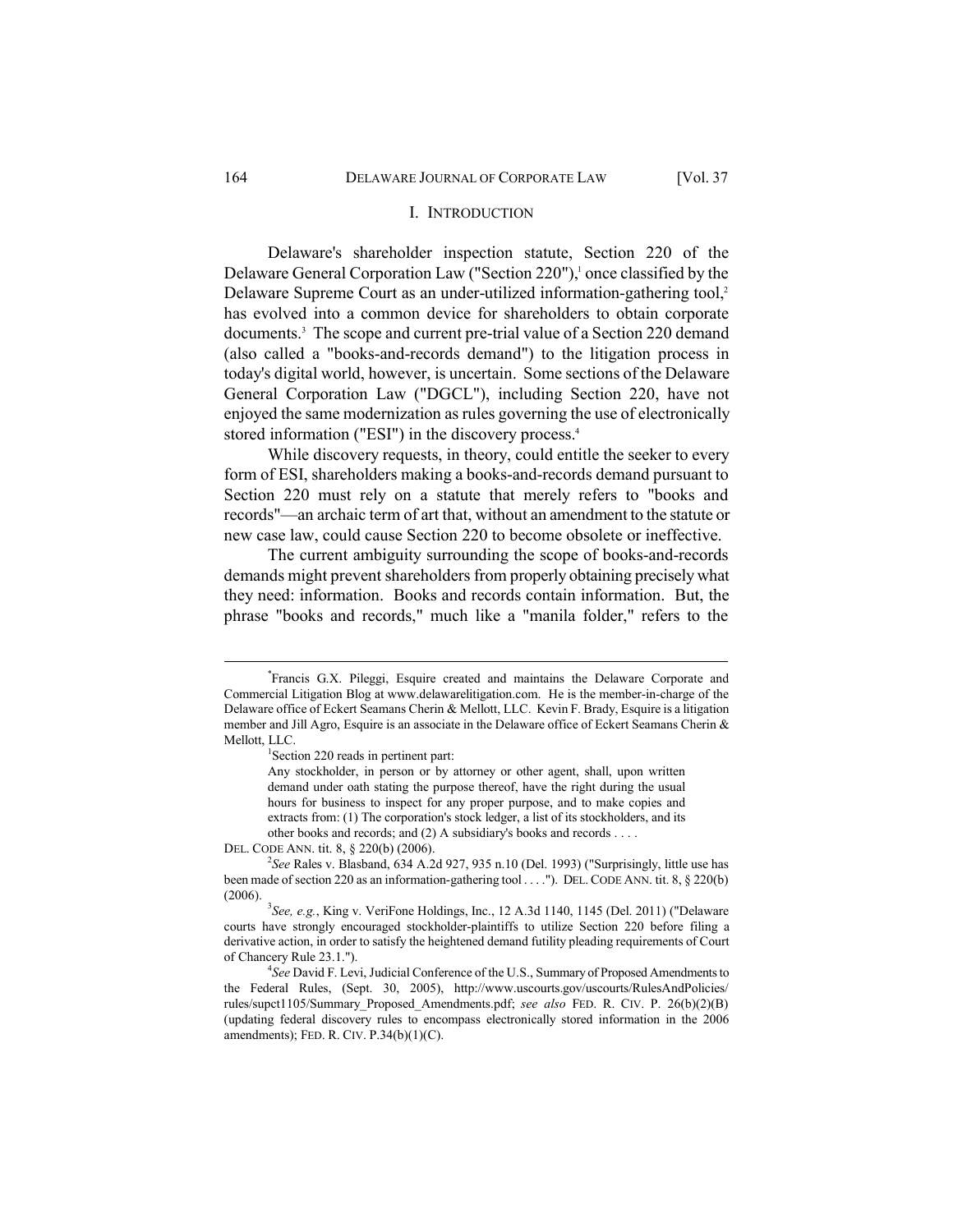#### I. INTRODUCTION

Delaware's shareholder inspection statute, Section 220 of the Delaware General Corporation Law ("Section 220"),<sup>1</sup> once classified by the Delaware Supreme Court as an under-utilized information-gathering tool,<sup>2</sup> has evolved into a common device for shareholders to obtain corporate documents.<sup>3</sup> The scope and current pre-trial value of a Section 220 demand (also called a "books-and-records demand") to the litigation process in today's digital world, however, is uncertain. Some sections of the Delaware General Corporation Law ("DGCL"), including Section 220, have not enjoyed the same modernization as rules governing the use of electronically stored information ("ESI") in the discovery process.<sup>4</sup>

While discovery requests, in theory, could entitle the seeker to every form of ESI, shareholders making a books-and-records demand pursuant to Section 220 must rely on a statute that merely refers to "books and records"—an archaic term of art that, without an amendment to the statute or new case law, could cause Section 220 to become obsolete or ineffective.

The current ambiguity surrounding the scope of books-and-records demands might prevent shareholders from properly obtaining precisely what they need: information. Books and records contain information. But, the phrase "books and records," much like a "manila folder," refers to the

<sup>\*</sup>Francis G.X. Pileggi, Esquire created and maintains the Delaware Corporate and Commercial Litigation Blog at www.delawarelitigation.com. He is the member-in-charge of the Delaware office of Eckert Seamans Cherin & Mellott, LLC. Kevin F. Brady, Esquire is a litigation member and Jill Agro, Esquire is an associate in the Delaware office of Eckert Seamans Cherin & Mellott. LLC.

Section 220 reads in pertinent part:

Any stockholder, in person or by attorney or other agent, shall, upon written demand under oath stating the purpose thereof, have the right during the usual hours for business to inspect for any proper purpose, and to make copies and extracts from: (1) The corporation's stock ledger, a list of its stockholders, and its other books and records; and (2) A subsidiary's books and records . . . .

DEL. CODE ANN. tit. 8, § 220(b) (2006).

 $2$ See Rales v. Blasband, 634 A.2d 927, 935 n.10 (Del. 1993) ("Surprisingly, little use has been made of section 220 as an information-gathering tool . . . . "). DEL. CODE ANN. tit. 8, § 220(b)  $(2006).$ 

<sup>&</sup>lt;sup>3</sup>See, e.g., King v. VeriFone Holdings, Inc., 12 A.3d 1140, 1145 (Del. 2011) ("Delaware courts have strongly encouraged stockholder-plaintiffs to utilize Section 220 before filing a derivative action, in order to satisfy the heightened demand futility pleading requirements of Court of Chancery Rule 23.1.").

<sup>&</sup>lt;sup>4</sup>See David F. Levi, Judicial Conference of the U.S., Summary of Proposed Amendments to the Federal Rules, (Sept. 30, 2005), http://www.uscourts.gov/uscourts/RulesAndPolicies/ rules/supct1105/Summary Proposed Amendments.pdf; see also FED. R. CIV. P. 26(b)(2)(B) (updating federal discovery rules to encompass electronically stored information in the 2006 amendments); FED. R. CIV. P.34 $(b)(1)(C)$ .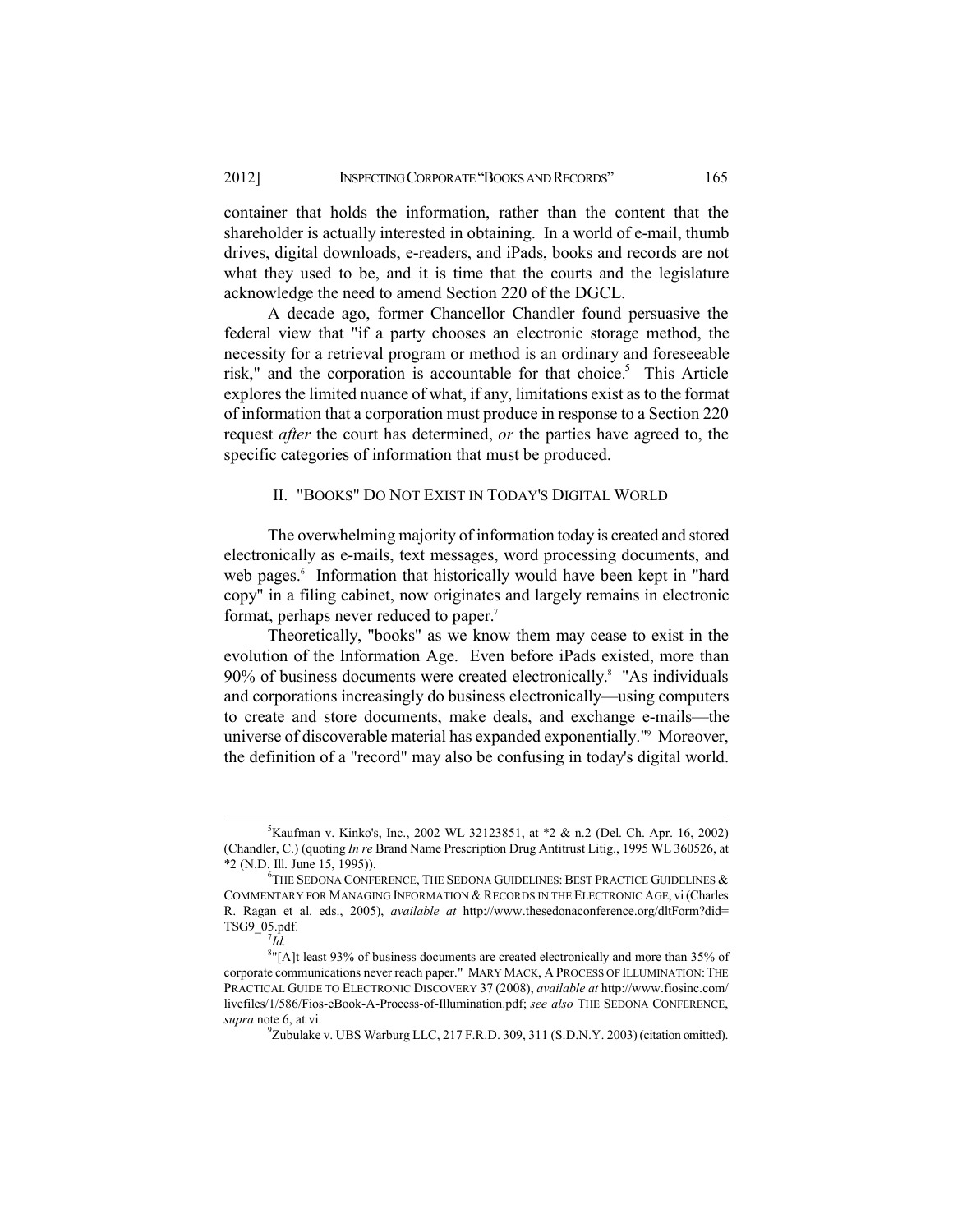container that holds the information, rather than the content that the shareholder is actually interested in obtaining. In a world of e-mail, thumb drives, digital downloads, e-readers, and iPads, books and records are not what they used to be, and it is time that the courts and the legislature acknowledge the need to amend Section 220 of the DGCL.

A decade ago, former Chancellor Chandler found persuasive the federal view that "if a party chooses an electronic storage method, the necessity for a retrieval program or method is an ordinary and foreseeable risk," and the corporation is accountable for that choice.<sup>5</sup> This Article explores the limited nuance of what, if any, limitations exist as to the format of information that a corporation must produce in response to a Section 220 request *after* the court has determined, *or* the parties have agreed to, the specific categories of information that must be produced.

#### II. "BOOKS" DO NOT EXIST IN TODAY'S DIGITAL WORLD

The overwhelming majority of information today is created and stored electronically as e-mails, text messages, word processing documents, and web pages.<sup>6</sup> Information that historically would have been kept in "hard" copy" in a filing cabinet, now originates and largely remains in electronic format, perhaps never reduced to paper.<sup>7</sup>

Theoretically, "books" as we know them may cease to exist in the evolution of the Information Age. Even before iPads existed, more than 90% of business documents were created electronically.<sup>8</sup> "As individuals and corporations increasingly do business electronically—using computers to create and store documents, make deals, and exchange e-mails-the universe of discoverable material has expanded exponentially."<sup>9</sup> Moreover, the definition of a "record" may also be confusing in today's digital world.

<sup>&</sup>lt;sup>5</sup>Kaufman v. Kinko's, Inc., 2002 WL 32123851, at \*2 & n.2 (Del. Ch. Apr. 16, 2002) (Chandler, C.) (quoting *In re* Brand Name Prescription Drug Antitrust Litig., 1995 WL 360526, at \*2 (N.D. Ill. June 15, 1995)).

 $^6$ THE SEDONA CONFERENCE, THE SEDONA GUIDELINES: BEST PRACTICE GUIDELINES  $\&$ COMMENTARY FOR MANAGING INFORMATION & RECORDS IN THE ELECTRONIC AGE, vi (Charles R. Ragan et al. eds., 2005), *available at* http://www.thesedonaconference.org/dltForm?did= TSG9\_05.pdf.

 $^7$ Id.

<sup>&</sup>lt;sup>8</sup>"[A]t least 93% of business documents are created electronically and more than 35% of corporate communications never reach paper." MARY MACK, A PROCESS OF ILLUMINATION: THE PRACTICAL GUIDE TO ELECTRONIC DISCOVERY 37 (2008), *available at http://www.fiosinc.com/* livefiles/1/586/Fios-eBook-A-Process-of-Illumination.pdf; see also THE SEDONA CONFERENCE, supra note 6, at vi.

<sup>&</sup>lt;sup>9</sup>Zubulake v. UBS Warburg LLC, 217 F.R.D. 309, 311 (S.D.N.Y. 2003) (citation omitted).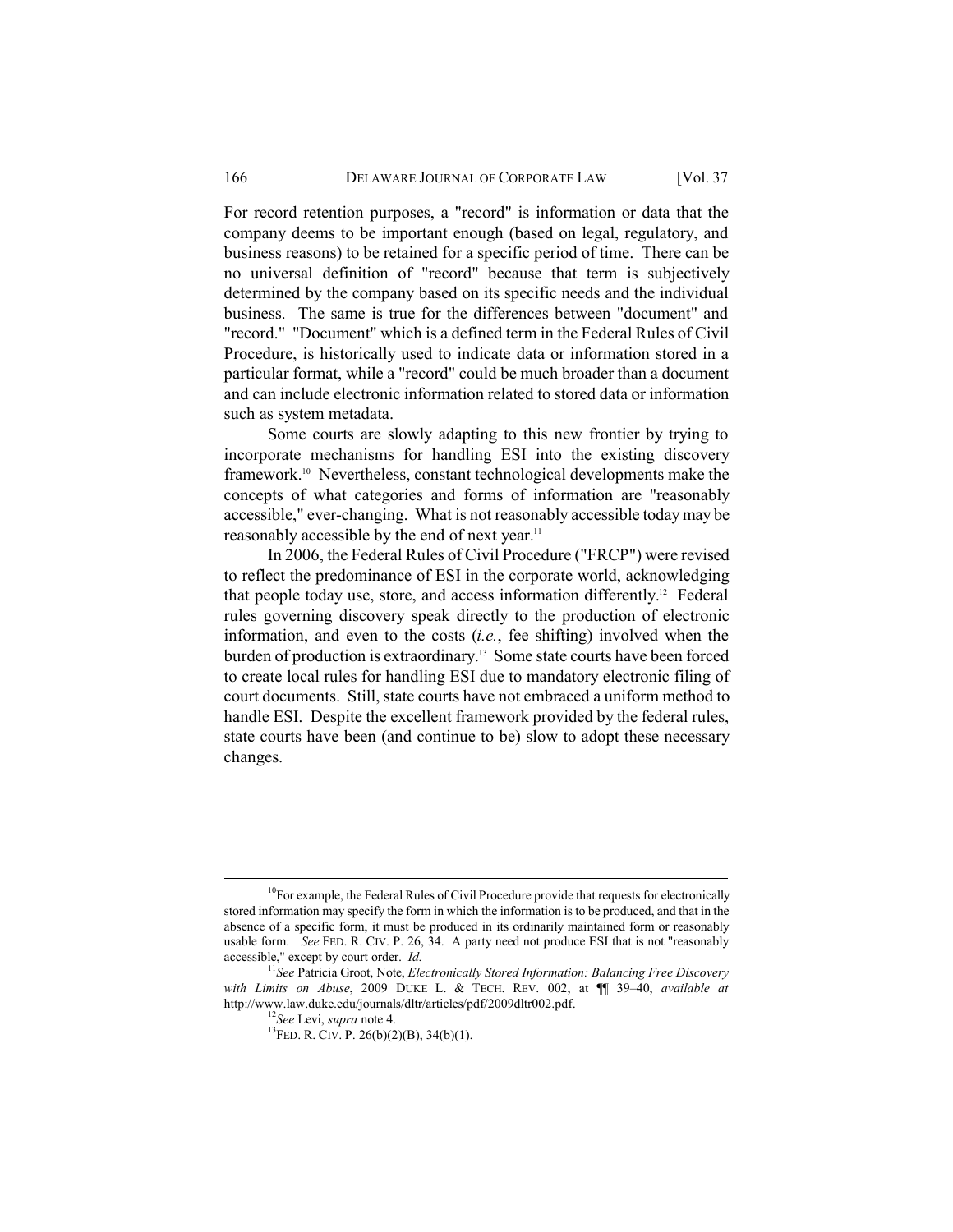For record retention purposes, a "record" is information or data that the company deems to be important enough (based on legal, regulatory, and business reasons) to be retained for a specific period of time. There can be no universal definition of "record" because that term is subjectively determined by the company based on its specific needs and the individual business. The same is true for the differences between "document" and "record." "Document" which is a defined term in the Federal Rules of Civil" Procedure, is historically used to indicate data or information stored in a particular format, while a "record" could be much broader than a document and can include electronic information related to stored data or information such as system metadata.

Some courts are slowly adapting to this new frontier by trying to incorporate mechanisms for handling ESI into the existing discovery framework.<sup>10</sup> Nevertheless, constant technological developments make the concepts of what categories and forms of information are "reasonably accessible," ever-changing. What is not reasonably accessible today may be reasonably accessible by the end of next year.<sup>11</sup>

In 2006, the Federal Rules of Civil Procedure ("FRCP") were revised to reflect the predominance of ESI in the corporate world, acknowledging that people today use, store, and access information differently.<sup>12</sup> Federal rules governing discovery speak directly to the production of electronic information, and even to the costs  $(i.e.,$  fee shifting) involved when the burden of production is extraordinary.<sup>13</sup> Some state courts have been forced to create local rules for handling ESI due to mandatory electronic filing of court documents. Still, state courts have not embraced a uniform method to handle ESI. Despite the excellent framework provided by the federal rules, state courts have been (and continue to be) slow to adopt these necessary changes.

 $^{10}$ For example, the Federal Rules of Civil Procedure provide that requests for electronically stored information may specify the form in which the information is to be produced, and that in the absence of a specific form, it must be produced in its ordinarily maintained form or reasonably usable form. See FED. R. CIV. P. 26, 34. A party need not produce ESI that is not "reasonably accessible," except by court order. Id.

 $^{11}$ See Patricia Groot, Note, Electronically Stored Information: Balancing Free Discovery with Limits on Abuse, 2009 DUKE L. & TECH. REV. 002, at  $\P$  39-40, available at http://www.law.duke.edu/journals/dltr/articles/pdf/2009dltr002.pdf.

<sup>&</sup>lt;sup>12</sup>See Levi, supra note 4.

<sup>&</sup>lt;sup>13</sup>FED. R. CIV. P. 26(b)(2)(B), 34(b)(1).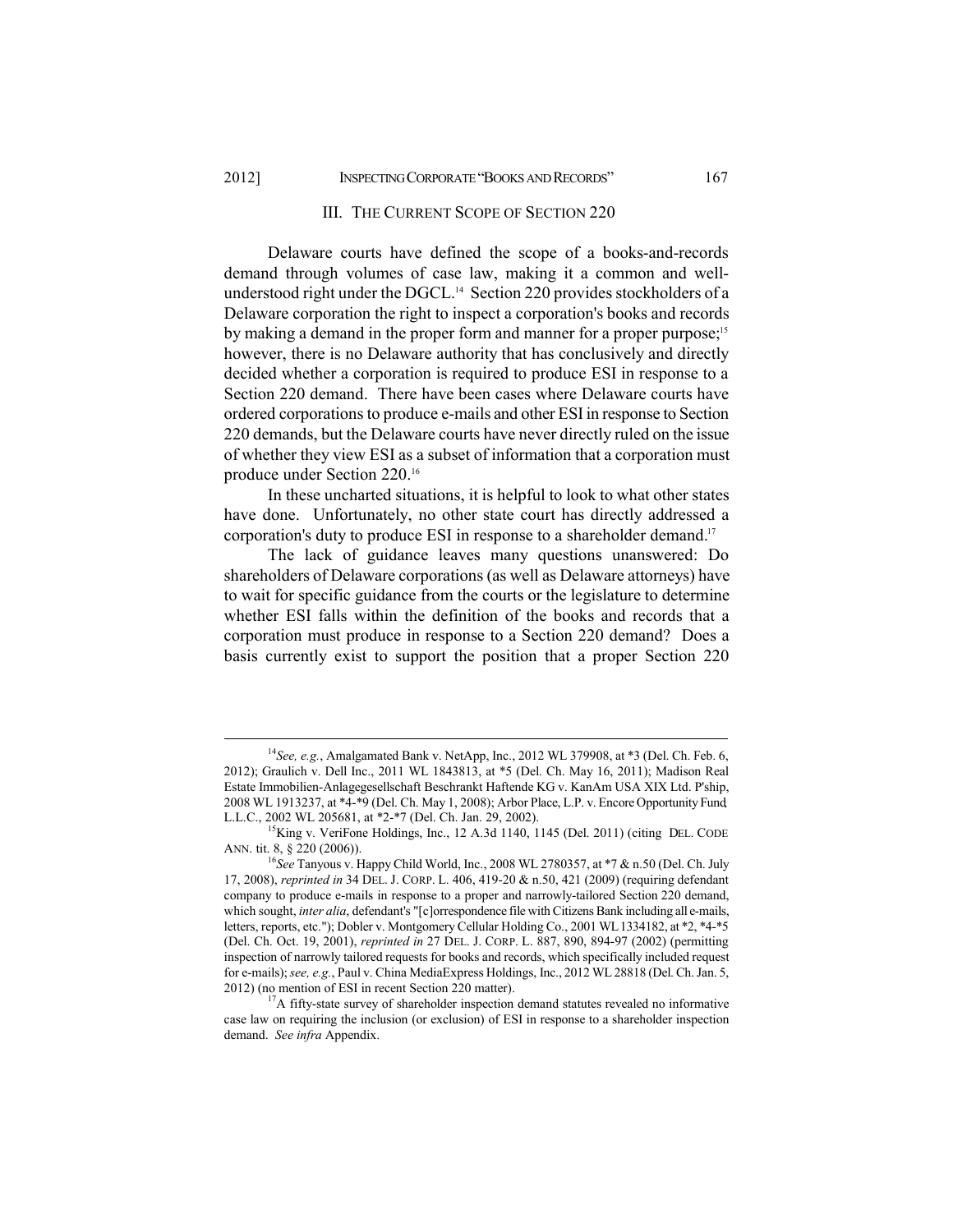#### III. THE CURRENT SCOPE OF SECTION 220

Delaware courts have defined the scope of a books-and-records demand through volumes of case law, making it a common and wellunderstood right under the DGCL.<sup>14</sup> Section 220 provides stockholders of a Delaware corporation the right to inspect a corporation's books and records by making a demand in the proper form and manner for a proper purpose;<sup>15</sup> however, there is no Delaware authority that has conclusively and directly decided whether a corporation is required to produce ESI in response to a Section 220 demand. There have been cases where Delaware courts have ordered corporations to produce e-mails and other ESI in response to Section 220 demands, but the Delaware courts have never directly ruled on the issue of whether they view ESI as a subset of information that a corporation must produce under Section 220.<sup>16</sup>

In these uncharted situations, it is helpful to look to what other states have done. Unfortunately, no other state court has directly addressed a corporation's duty to produce ESI in response to a shareholder demand.<sup>17</sup>

The lack of guidance leaves many questions unanswered: Do shareholders of Delaware corporations (as well as Delaware attorneys) have to wait for specific guidance from the courts or the legislature to determine whether ESI falls within the definition of the books and records that a corporation must produce in response to a Section 220 demand? Does a basis currently exist to support the position that a proper Section 220

<sup>&</sup>lt;sup>14</sup>See, e.g., Amalgamated Bank v. NetApp, Inc., 2012 WL 379908, at \*3 (Del. Ch. Feb. 6, 2012); Graulich v. Dell Inc., 2011 WL 1843813, at \*5 (Del. Ch. May 16, 2011); Madison Real Estate Immobilien-Anlagegesellschaft Beschrankt Haftende KG v. KanAm USA XIX Ltd. P'ship, 2008 WL 1913237, at \*4-\*9 (Del. Ch. May 1, 2008); Arbor Place, L.P. v. Encore Opportunity Fund L.L.C., 2002 WL 205681, at \*2-\*7 (Del. Ch. Jan. 29, 2002).

<sup>&</sup>lt;sup>15</sup>King v. VeriFone Holdings, Inc., 12 A.3d 1140, 1145 (Del. 2011) (citing DEL. CODE ANN. tit. 8, § 220 (2006)).

<sup>&</sup>lt;sup>16</sup>See Tanyous v. Happy Child World, Inc., 2008 WL 2780357, at \*7 & n.50 (Del. Ch. July 17, 2008), reprinted in 34 DEL. J. CORP. L. 406, 419-20 & n.50, 421 (2009) (requiring defendant company to produce e-mails in response to a proper and narrowly-tailored Section 220 demand, which sought, *inter alia*, defendant's "[c]orrespondence file with Citizens Bank including all e-mails, letters, reports, etc."); Dobler v. Montgomery Cellular Holding Co., 2001 WL 1334182, at \*2, \*4-\*5 (Del. Ch. Oct. 19, 2001), reprinted in 27 DEL. J. CORP. L. 887, 890, 894-97 (2002) (permitting inspection of narrowly tailored requests for books and records, which specifically included request for e-mails); see, e.g., Paul v. China MediaExpress Holdings, Inc., 2012 WL 28818 (Del. Ch. Jan. 5, 2012) (no mention of ESI in recent Section 220 matter).

 ${}^{7}$ A fifty-state survey of shareholder inspection demand statutes revealed no informative case law on requiring the inclusion (or exclusion) of ESI in response to a shareholder inspection demand. See infra Appendix.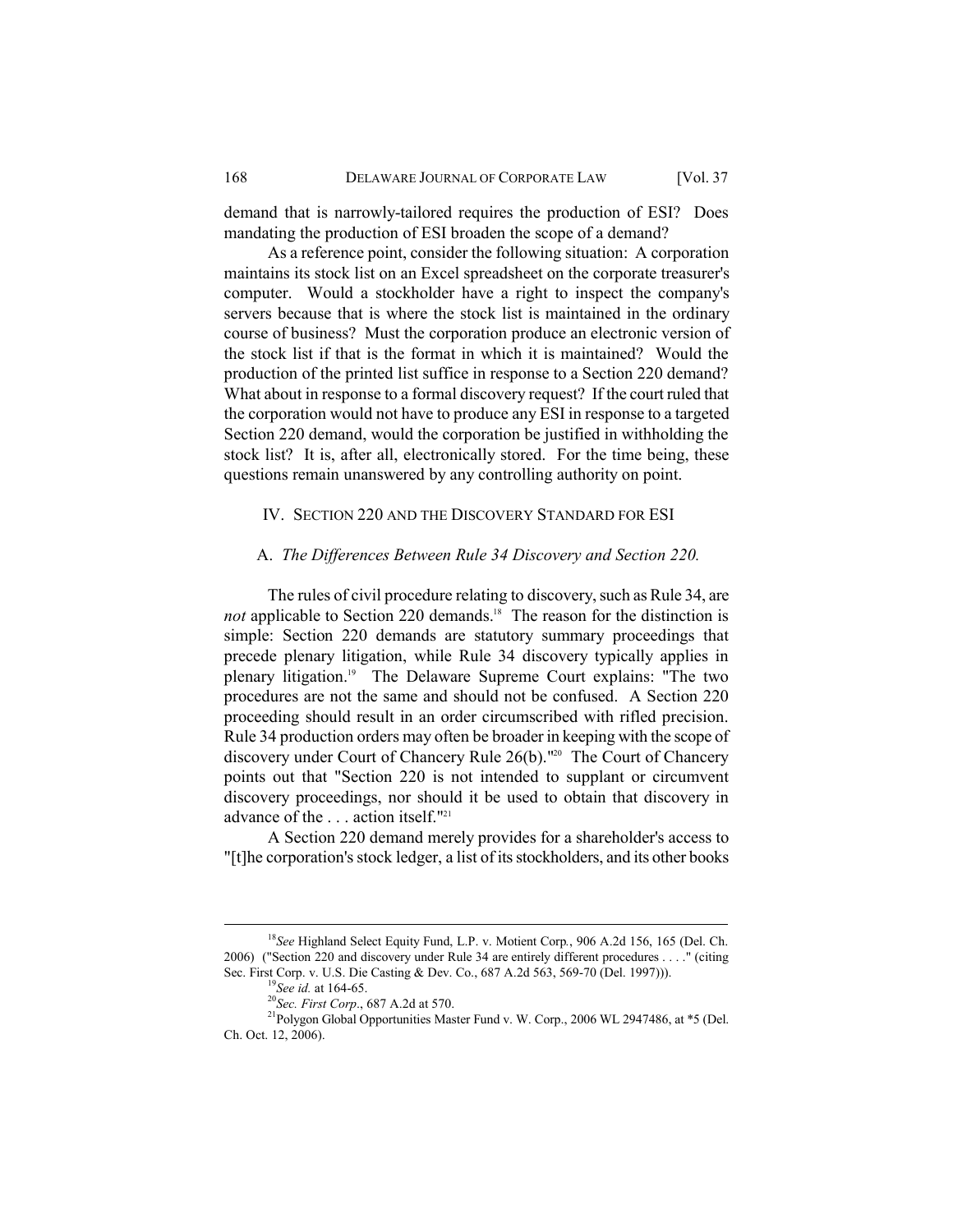demand that is narrowly-tailored requires the production of ESI? Does mandating the production of ESI broaden the scope of a demand?

As a reference point, consider the following situation: A corporation maintains its stock list on an Excel spreadsheet on the corporate treasurer's computer. Would a stockholder have a right to inspect the company's servers because that is where the stock list is maintained in the ordinary course of business? Must the corporation produce an electronic version of the stock list if that is the format in which it is maintained? Would the production of the printed list suffice in response to a Section 220 demand? What about in response to a formal discovery request? If the court ruled that the corporation would not have to produce any ESI in response to a targeted Section 220 demand, would the corporation be justified in withholding the stock list? It is, after all, electronically stored. For the time being, these questions remain unanswered by any controlling authority on point.

# IV. SECTION 220 AND THE DISCOVERY STANDARD FOR ESI

### A. The Differences Between Rule 34 Discovery and Section 220.

The rules of civil procedure relating to discovery, such as Rule 34, are not applicable to Section 220 demands.<sup>18</sup> The reason for the distinction is simple: Section 220 demands are statutory summary proceedings that precede plenary litigation, while Rule 34 discovery typically applies in plenary litigation.<sup>19</sup> The Delaware Supreme Court explains: "The two procedures are not the same and should not be confused. A Section 220 proceeding should result in an order circumscribed with rifled precision. Rule 34 production orders may often be broader in keeping with the scope of discovery under Court of Chancery Rule 26(b)."<sup>20</sup> The Court of Chancery points out that "Section 220 is not intended to supplant or circumvent discovery proceedings, nor should it be used to obtain that discovery in advance of the exaction itself."<sup>21</sup>

A Section 220 demand merely provides for a shareholder's access to "[t] he corporation's stock ledger, a list of its stockholders, and its other books

<sup>&</sup>lt;sup>18</sup>See Highland Select Equity Fund, L.P. v. Motient Corp., 906 A.2d 156, 165 (Del. Ch. 2006) ("Section 220 and discovery under Rule 34 are entirely different procedures . . . ." (citing Sec. First Corp. v. U.S. Die Casting & Dev. Co., 687 A.2d 563, 569-70 (Del. 1997))).

<sup>&</sup>lt;sup>9</sup>See id. at 164-65.

<sup>&</sup>lt;sup>20</sup>Sec. First Corp., 687 A.2d at 570.

<sup>&</sup>lt;sup>21</sup>Polygon Global Opportunities Master Fund v. W. Corp., 2006 WL 2947486, at \*5 (Del. Ch. Oct. 12, 2006).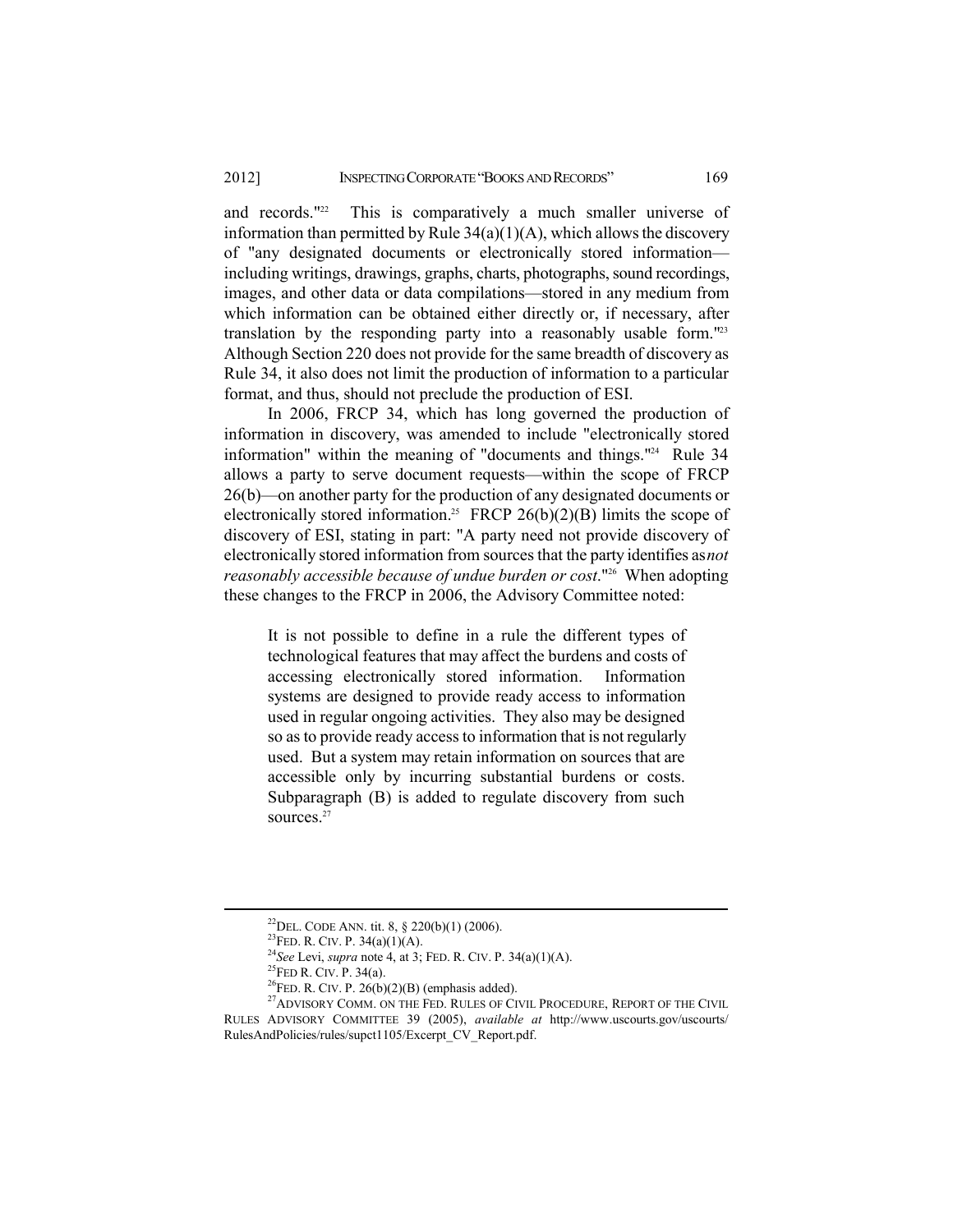and records."<sup>22</sup> This is comparatively a much smaller universe of information than permitted by Rule  $34(a)(1)(A)$ , which allows the discovery of "any designated documents or electronically stored information including writings, drawings, graphs, charts, photographs, sound recordings, images, and other data or data compilations—stored in any medium from which information can be obtained either directly or, if necessary, after translation by the responding party into a reasonably usable form."<sup>23</sup> Although Section 220 does not provide for the same breadth of discovery as Rule 34, it also does not limit the production of information to a particular format, and thus, should not preclude the production of ESI.

In 2006, FRCP 34, which has long governed the production of information in discovery, was amended to include "electronically stored information" within the meaning of "documents and things."<sup>24</sup> Rule 34 allows a party to serve document requests—within the scope of FRCP 26(b)—on another party for the production of any designated documents or electronically stored information.<sup>25</sup> FRCP 26(b)(2)(B) limits the scope of discovery of ESI, stating in part: "A party need not provide discovery of electronically stored information from sources that the party identifies as not reasonably accessible because of undue burden or cost."<sup>26</sup> When adopting these changes to the FRCP in 2006, the Advisory Committee noted:

It is not possible to define in a rule the different types of technological features that may affect the burdens and costs of accessing electronically stored information. Information systems are designed to provide ready access to information used in regular ongoing activities. They also may be designed so as to provide ready access to information that is not regularly used. But a system may retain information on sources that are accessible only by incurring substantial burdens or costs. Subparagraph (B) is added to regulate discovery from such sources. $27$ 

<sup>&</sup>lt;sup>22</sup>DEL. CODE ANN. tit. 8, § 220(b)(1) (2006).

<sup>&</sup>lt;sup>23</sup>FED. R. CIV. P. 34(a)(1)(A).

<sup>&</sup>lt;sup>24</sup>See Levi, supra note 4, at 3; FED. R. CIV. P. 34(a)(1)(A).

<sup>&</sup>lt;sup>25</sup>FED R. CIV. P. 34(a).

<sup>&</sup>lt;sup>26</sup>FED. R. CIV. P.  $26(b)(2)(B)$  (emphasis added).

<sup>&</sup>lt;sup>27</sup>ADVISORY COMM. ON THE FED. RULES OF CIVIL PROCEDURE, REPORT OF THE CIVIL RULES ADVISORY COMMITTEE 39 (2005), available at http://www.uscourts.gov/uscourts/ RulesAndPolicies/rules/supct1105/Excerpt\_CV\_Report.pdf.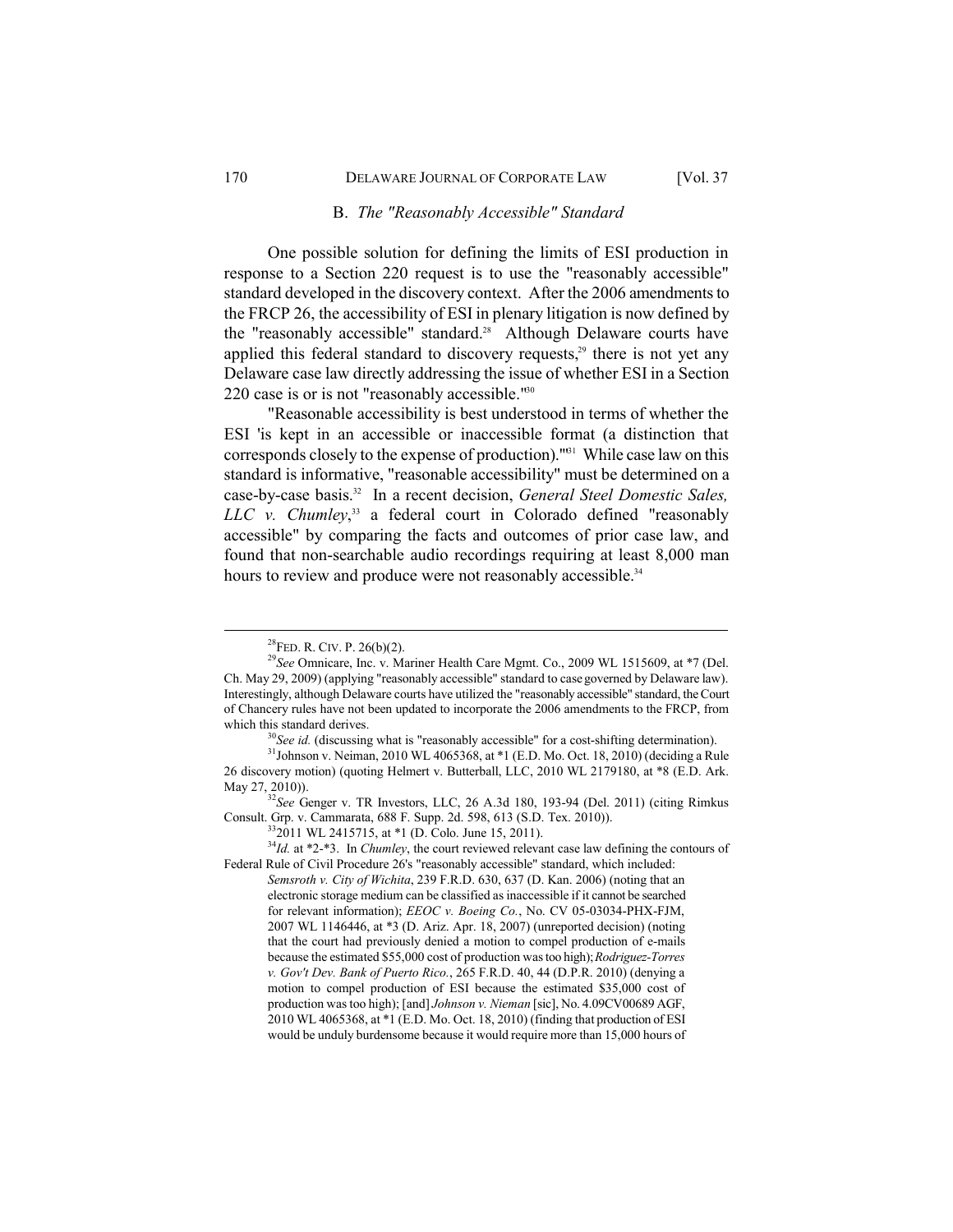## B. The "Reasonably Accessible" Standard

One possible solution for defining the limits of ESI production in response to a Section 220 request is to use the "reasonably accessible" standard developed in the discovery context. After the 2006 amendments to the FRCP 26, the accessibility of ESI in plenary litigation is now defined by the "reasonably accessible" standard.<sup>28</sup> Although Delaware courts have applied this federal standard to discovery requests,<sup>29</sup> there is not yet any Delaware case law directly addressing the issue of whether ESI in a Section 220 case is or is not "reasonably accessible."<sup>30</sup>

"Reasonable accessibility is best understood in terms of whether the ESI 'is kept in an accessible or inaccessible format (a distinction that corresponds closely to the expense of production)."<sup>31</sup> While case law on this standard is informative, "reasonable accessibility" must be determined on a case-by-case basis.<sup>32</sup> In a recent decision, General Steel Domestic Sales, LLC v. Chumley,<sup>33</sup> a federal court in Colorado defined "reasonably accessible" by comparing the facts and outcomes of prior case law, and found that non-searchable audio recordings requiring at least 8,000 man hours to review and produce were not reasonably accessible.<sup>34</sup>

 $^{30}$ See id. (discussing what is "reasonably accessible" for a cost-shifting determination).

May 27, 2010)).<br><sup>32</sup>See Genger v. TR Investors, LLC, 26 A.3d 180, 193-94 (Del. 2011) (citing Rimkus Consult. Grp. v. Cammarata, 688 F. Supp. 2d. 598, 613 (S.D. Tex. 2010)).

 $332011$  WL 2415715, at \*1 (D. Colo. June 15, 2011).

 $34$ <sup>14</sup>*Id.* at \*2-\*3. In *Chumley*, the court reviewed relevant case law defining the contours of Federal Rule of Civil Procedure 26's "reasonably accessible" standard, which included: Semsroth v. City of Wichita, 239 F.R.D. 630, 637 (D. Kan. 2006) (noting that an electronic storage medium can be classified as inaccessible if it cannot be searched for relevant information); *EEOC v. Boeing Co.*, No. CV 05-03034-PHX-FJM, 2007 WL 1146446, at \*3 (D. Ariz. Apr. 18, 2007) (unreported decision) (noting that the court had previously denied a motion to compel production of e-mails because the estimated \$55,000 cost of production was too high); Rodriguez-Torres v. Gov't Dev. Bank of Puerto Rico., 265 F.R.D. 40, 44 (D.P.R. 2010) (denying a motion to compel production of ESI because the estimated \$35,000 cost of production was too high); [and] Johnson v. Nieman [sic], No. 4.09CV00689 AGF, 2010 WL 4065368, at \*1 (E.D. Mo. Oct. 18, 2010) (finding that production of ESI would be unduly burdensome because it would require more than 15,000 hours of

 $28$ FED. R. CIV. P.  $26(b)(2)$ .

<sup>&</sup>lt;sup>29</sup>See Omnicare, Inc. v. Mariner Health Care Mgmt. Co., 2009 WL 1515609, at \*7 (Del. Ch. May 29, 2009) (applying "reasonably accessible" standard to case governed by Delaware law). Interestingly, although Delaware courts have utilized the "reasonably accessible" standard, the Court of Chancery rules have not been updated to incorporate the 2006 amendments to the FRCP, from which this standard derives.

 $^{31}$ Johnson v. Neiman, 2010 WL 4065368, at \*1 (E.D. Mo. Oct. 18, 2010) (deciding a Rule 26 discovery motion) (quoting Helmert v. Butterball, LLC, 2010 WL 2179180, at \*8 (E.D. Ark.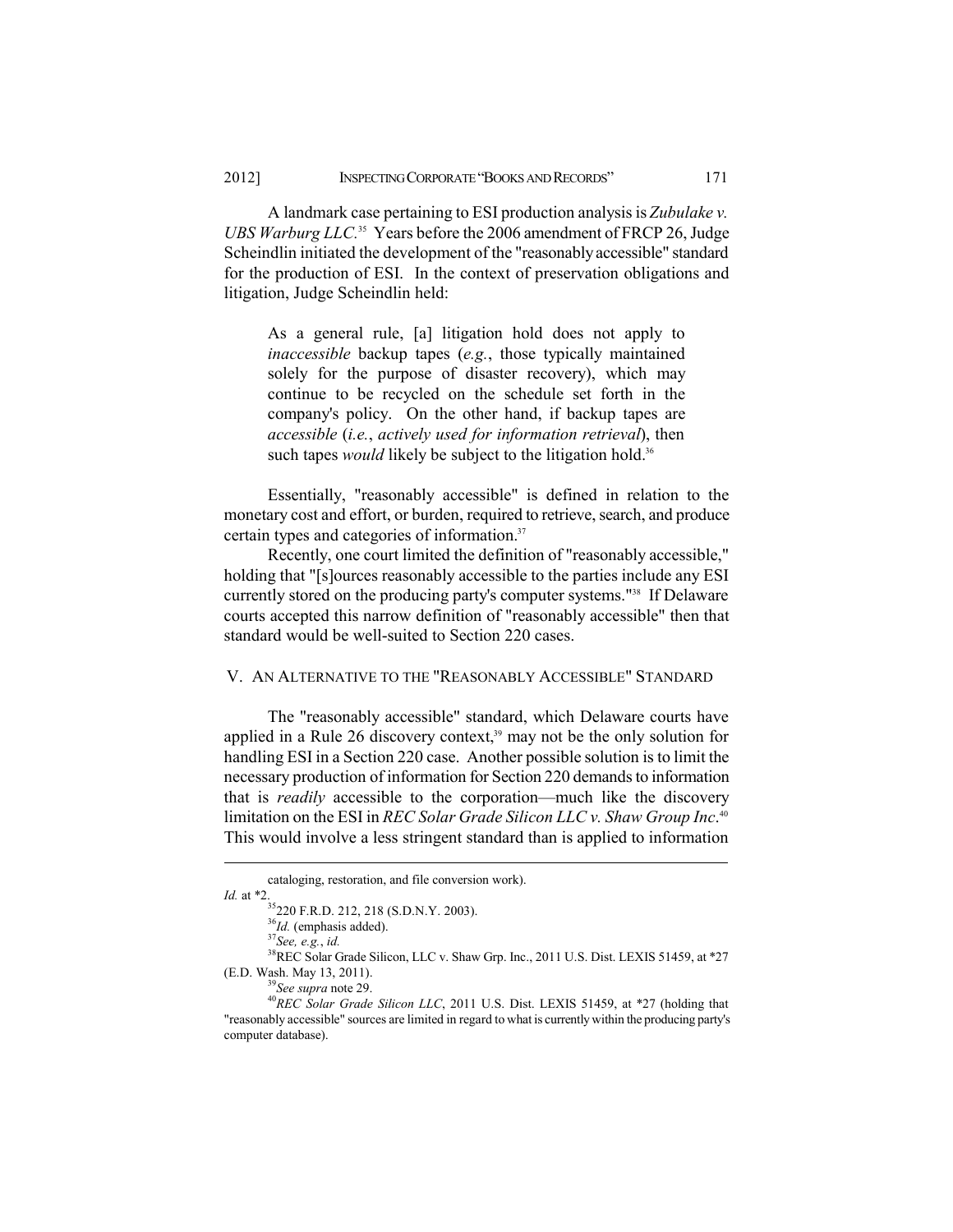A landmark case pertaining to ESI production analysis is Zubulake v. UBS Warburg LLC.<sup>35</sup> Years before the 2006 amendment of FRCP 26, Judge Scheindlin initiated the development of the "reasonably accessible" standard for the production of ESI. In the context of preservation obligations and litigation, Judge Scheindlin held:

As a general rule, [a] litigation hold does not apply to *inaccessible* backup tapes (e.g., those typically maintained solely for the purpose of disaster recovery), which may continue to be recycled on the schedule set forth in the company's policy. On the other hand, if backup tapes are accessible (*i.e.*, actively used for information retrieval), then such tapes *would* likely be subject to the litigation hold.<sup>36</sup>

Essentially, "reasonably accessible" is defined in relation to the monetary cost and effort, or burden, required to retrieve, search, and produce certain types and categories of information.<sup>37</sup>

Recently, one court limited the definition of "reasonably accessible," holding that "[s] ources reasonably accessible to the parties include any ESI currently stored on the producing party's computer systems."<sup>38</sup> If Delaware courts accepted this narrow definition of "reasonably accessible" then that standard would be well-suited to Section 220 cases.

# V. AN ALTERNATIVE TO THE "REASONABLY ACCESSIBLE" STANDARD

The "reasonably accessible" standard, which Delaware courts have applied in a Rule 26 discovery context,<sup>39</sup> may not be the only solution for handling ESI in a Section 220 case. Another possible solution is to limit the necessary production of information for Section 220 demands to information that is *readily* accessible to the corporation—much like the discovery limitation on the ESI in REC Solar Grade Silicon LLC v. Shaw Group Inc.<sup>40</sup> This would involve a less stringent standard than is applied to information

cataloging, restoration, and file conversion work).

Id. at \*2.

<sup>...&</sup>lt;br>35<sub>220</sub> F.R.D. 212, 218 (S.D.N.Y. 2003).

 $36$ Id. (emphasis added).

 $37$ See, e.g., id.

<sup>&</sup>lt;sup>38</sup>REC Solar Grade Silicon, LLC v. Shaw Grp. Inc., 2011 U.S. Dist. LEXIS 51459, at \*27 (E.D. Wash. May 13, 2011).

<sup>&</sup>lt;sup>9</sup>See supra note 29.

<sup>&</sup>lt;sup>40</sup>REC Solar Grade Silicon LLC, 2011 U.S. Dist. LEXIS 51459, at \*27 (holding that "reasonably accessible" sources are limited in regard to what is currently within the producing party's computer database).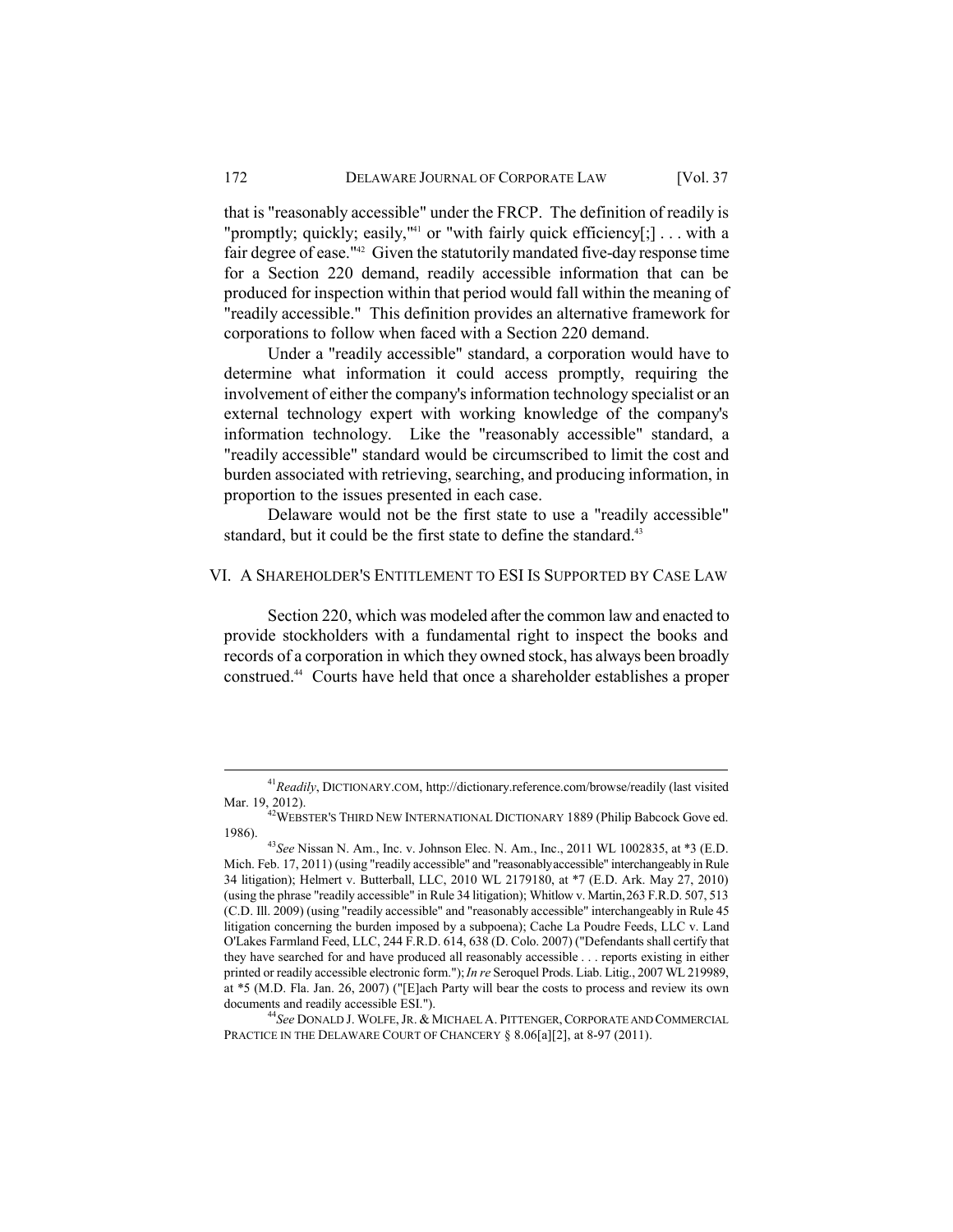that is "reasonably accessible" under the FRCP. The definition of readily is "promptly; quickly; easily,"<sup>41</sup> or "with fairly quick efficiency[;]... with a fair degree of ease."<sup>42</sup> Given the statutorily mandated five-day response time for a Section 220 demand, readily accessible information that can be produced for inspection within that period would fall within the meaning of "readily accessible." This definition provides an alternative framework for corporations to follow when faced with a Section 220 demand.

Under a "readily accessible" standard, a corporation would have to determine what information it could access promptly, requiring the involvement of either the company's information technology specialist or an external technology expert with working knowledge of the company's information technology. Like the "reasonably accessible" standard, a "readily accessible" standard would be circumscribed to limit the cost and burden associated with retrieving, searching, and producing information, in proportion to the issues presented in each case.

Delaware would not be the first state to use a "readily accessible" standard, but it could be the first state to define the standard.<sup>43</sup>

### VI. A SHAREHOLDER'S ENTITLEMENT TO ESI IS SUPPORTED BY CASE LAW

Section 220, which was modeled after the common law and enacted to provide stockholders with a fundamental right to inspect the books and records of a corporation in which they owned stock, has always been broadly construed.<sup>44</sup> Courts have held that once a shareholder establishes a proper

<sup>&</sup>lt;sup>41</sup> Readily, DICTIONARY.COM, http://dictionary.reference.com/browse/readily (last visited

Mar. 19, 2012).<br><sup>42</sup>WEBSTER'S THIRD NEW INTERNATIONAL DICTIONARY 1889 (Philip Babcock Gove ed. 1986).

 $^{43}$ See Nissan N. Am., Inc. v. Johnson Elec. N. Am., Inc., 2011 WL 1002835, at \*3 (E.D. Mich. Feb. 17, 2011) (using "readily accessible" and "reasonably accessible" interchangeably in Rule 34 litigation); Helmert v. Butterball, LLC, 2010 WL 2179180, at \*7 (E.D. Ark. May 27, 2010) (using the phrase "readily accessible" in Rule 34 litigation); Whitlow v. Martin, 263 F.R.D. 507, 513 (C.D. Ill. 2009) (using "readily accessible" and "reasonably accessible" interchangeably in Rule 45 litigation concerning the burden imposed by a subpoena); Cache La Poudre Feeds, LLC v. Land O'Lakes Farmland Feed, LLC, 244 F.R.D. 614, 638 (D. Colo. 2007) ("Defendants shall certify that they have searched for and have produced all reasonably accessible . . . reports existing in either printed or readily accessible electronic form."); *In re* Seroquel Prods. Liab. Litig., 2007 WL 219989, at \*5 (M.D. Fla. Jan. 26, 2007) ("[E]ach Party will bear the costs to process and review its own documents and readily accessible ESI.").

<sup>&</sup>lt;sup>44</sup>See DONALD J. WOLFE, JR. & MICHAEL A. PITTENGER, CORPORATE AND COMMERCIAL PRACTICE IN THE DELAWARE COURT OF CHANCERY § 8.06[a][2], at 8-97 (2011).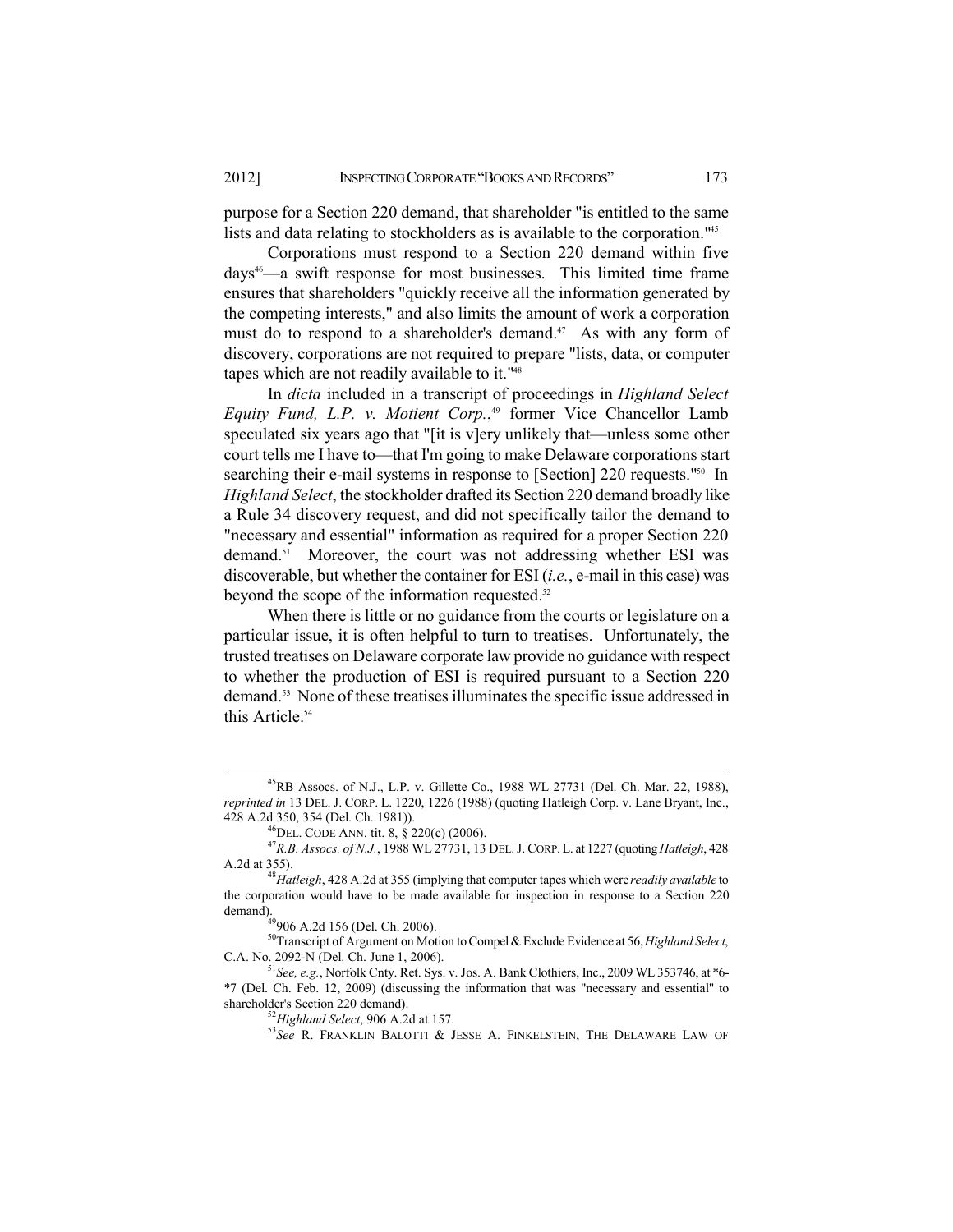purpose for a Section 220 demand, that shareholder "is entitled to the same lists and data relating to stockholders as is available to the corporation.<sup>145</sup>

Corporations must respond to a Section 220 demand within five days<sup>46</sup>—a swift response for most businesses. This limited time frame ensures that shareholders "quickly receive all the information generated by the competing interests," and also limits the amount of work a corporation must do to respond to a shareholder's demand.<sup>47</sup> As with any form of discovery, corporations are not required to prepare "lists, data, or computer" tapes which are not readily available to it."<sup>48</sup>

In dicta included in a transcript of proceedings in Highland Select Equity Fund, L.P. v. Motient Corp.,<sup>49</sup> former Vice Chancellor Lamb speculated six years ago that "[it is v]ery unlikely that—unless some other court tells me I have to—that I'm going to make Delaware corporations start searching their e-mail systems in response to [Section] 220 requests."50 In *Highland Select*, the stockholder drafted its Section 220 demand broadly like a Rule 34 discovery request, and did not specifically tailor the demand to "necessary and essential" information as required for a proper Section 220 demand.<sup>51</sup> Moreover, the court was not addressing whether ESI was discoverable, but whether the container for ESI (*i.e.*, e-mail in this case) was beyond the scope of the information requested.<sup>52</sup>

When there is little or no guidance from the courts or legislature on a particular issue, it is often helpful to turn to treatises. Unfortunately, the trusted treatises on Delaware corporate law provide no guidance with respect to whether the production of ESI is required pursuant to a Section 220 demand.<sup>53</sup> None of these treatises illuminates the specific issue addressed in this Article.<sup>54</sup>

<sup>&</sup>lt;sup>45</sup>RB Assocs. of N.J., L.P. v. Gillette Co., 1988 WL 27731 (Del. Ch. Mar. 22, 1988), reprinted in 13 DEL. J. CORP. L. 1220, 1226 (1988) (quoting Hatleigh Corp. v. Lane Bryant, Inc., 428 A.2d 350, 354 (Del. Ch. 1981)).

<sup>&</sup>lt;sup>46</sup>DEL. CODE ANN. tit. 8,  $\S$  220(c) (2006).

<sup>&</sup>lt;sup>47</sup>R.B. Assocs. of N.J., 1988 WL 27731, 13 DEL. J. CORP. L. at 1227 (quoting Hatleigh, 428 A.2d at 355).

<sup>&</sup>lt;sup>48</sup>Hatleigh, 428 A.2d at 355 (implying that computer tapes which were *readily available* to the corporation would have to be made available for inspection in response to a Section 220 demand).<br> $^{49}906$  A.2d 156 (Del. Ch. 2006).

 $50$ Transcript of Argument on Motion to Compel & Exclude Evidence at 56, Highland Select, C.A. No. 2092-N (Del. Ch. June 1, 2006).

<sup>&</sup>lt;sup>51</sup> See, e.g., Norfolk Cnty. Ret. Sys. v. Jos. A. Bank Clothiers, Inc., 2009 WL 353746, at \*6-\*7 (Del. Ch. Feb. 12, 2009) (discussing the information that was "necessary and essential" to shareholder's Section 220 demand).

<sup>&</sup>lt;sup>52</sup>Highland Select, 906 A.2d at 157.

<sup>&</sup>lt;sup>53</sup>See R. FRANKLIN BALOTTI & JESSE A. FINKELSTEIN, THE DELAWARE LAW OF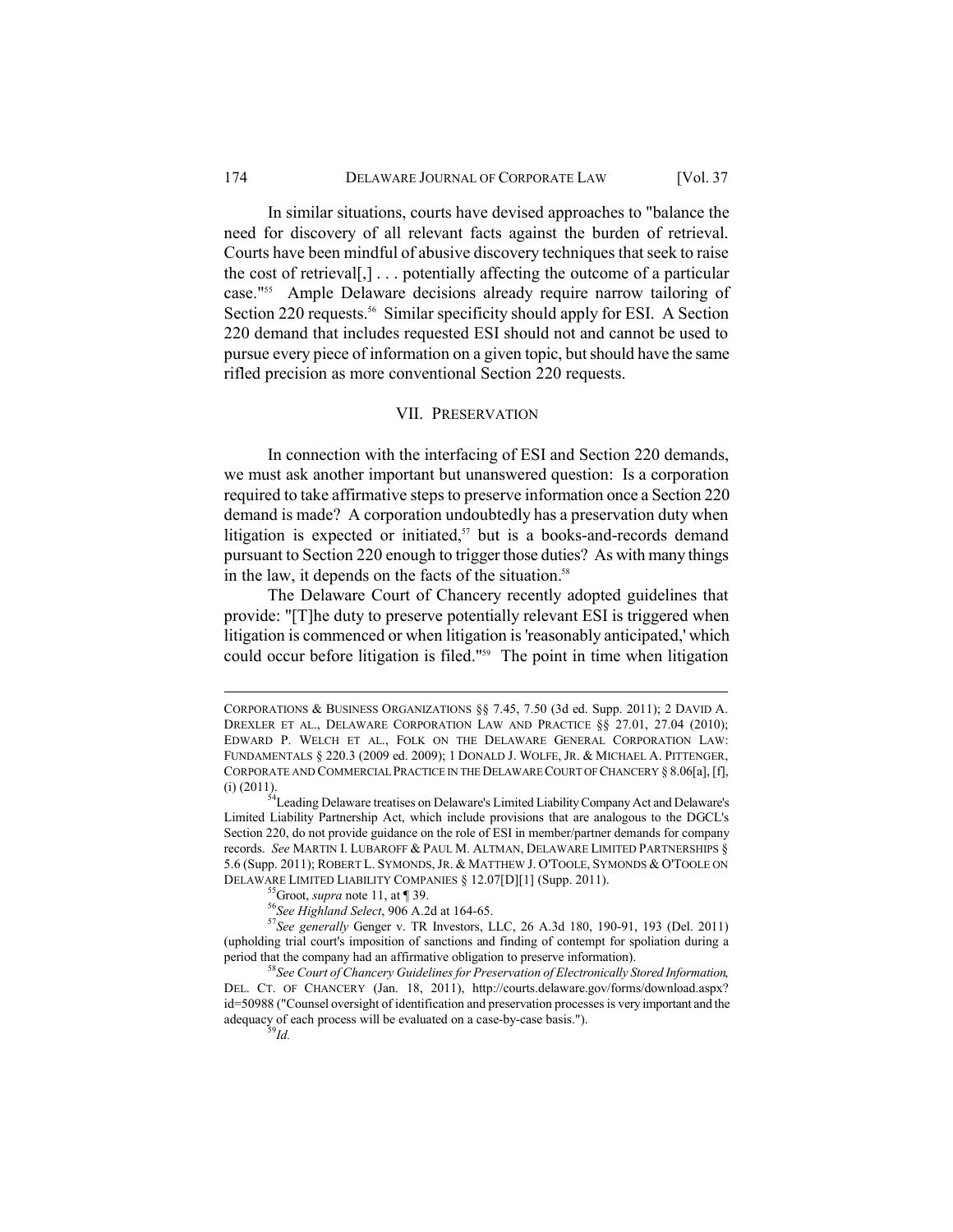In similar situations, courts have devised approaches to "balance the need for discovery of all relevant facts against the burden of retrieval. Courts have been mindful of abusive discovery techniques that seek to raise the cost of retrieval[,]  $\ldots$  potentially affecting the outcome of a particular case."<sup>55</sup> Ample Delaware decisions already require narrow tailoring of Section 220 requests.<sup>56</sup> Similar specificity should apply for ESI. A Section 220 demand that includes requested ESI should not and cannot be used to pursue every piece of information on a given topic, but should have the same rifled precision as more conventional Section 220 requests.

#### **VII. PRESERVATION**

In connection with the interfacing of ESI and Section 220 demands, we must ask another important but unanswered question: Is a corporation required to take affirmative steps to preserve information once a Section 220 demand is made? A corporation undoubtedly has a preservation duty when litigation is expected or initiated, $57$  but is a books-and-records demand pursuant to Section 220 enough to trigger those duties? As with many things in the law, it depends on the facts of the situation.<sup>58</sup>

The Delaware Court of Chancery recently adopted guidelines that provide: "[T]he duty to preserve potentially relevant ESI is triggered when litigation is commenced or when litigation is 'reasonably anticipated,' which could occur before litigation is filed."<sup>59</sup> The point in time when litigation

CORPORATIONS & BUSINESS ORGANIZATIONS §§ 7.45, 7.50 (3d ed. Supp. 2011); 2 DAVID A. DREXLER ET AL., DELAWARE CORPORATION LAW AND PRACTICE §§ 27.01, 27.04 (2010); EDWARD P. WELCH ET AL., FOLK ON THE DELAWARE GENERAL CORPORATION LAW: FUNDAMENTALS § 220.3 (2009 ed. 2009); 1 DONALD J. WOLFE, JR. & MICHAEL A. PITTENGER, CORPORATE AND COMMERCIAL PRACTICE IN THE DELAWARE COURT OF CHANCERY § 8.06[a], [f],  $(i)$  (2011).

<sup>&</sup>lt;sup>54</sup>Leading Delaware treatises on Delaware's Limited Liability Company Act and Delaware's Limited Liability Partnership Act, which include provisions that are analogous to the DGCL's Section 220, do not provide guidance on the role of ESI in member/partner demands for company records. See MARTIN I. LUBAROFF & PAUL M. ALTMAN, DELAWARE LIMITED PARTNERSHIPS § 5.6 (Supp. 2011); ROBERT L. SYMONDS, JR. & MATTHEW J. O'TOOLE, SYMONDS & O'TOOLE ON DELAWARE LIMITED LIABILITY COMPANIES § 12.07[D][1] (Supp. 2011).

<sup>&</sup>lt;sup>55</sup>Groot, *supra* note 11, at  $\P$  39.

<sup>&</sup>lt;sup>56</sup>See Highland Select, 906 A.2d at 164-65.

<sup>&</sup>lt;sup>57</sup>See generally Genger v. TR Investors, LLC, 26 A.3d 180, 190-91, 193 (Del. 2011) (upholding trial court's imposition of sanctions and finding of contempt for spoliation during a period that the company had an affirmative obligation to preserve information).

<sup>&</sup>lt;sup>58</sup>See Court of Chancery Guidelines for Preservation of Electronically Stored Information, DEL. CT. OF CHANCERY (Jan. 18, 2011), http://courts.delaware.gov/forms/download.aspx? id=50988 ("Counsel oversight of identification and preservation processes is very important and the adequacy of each process will be evaluated on a case-by-case basis.").  $^{59}$ Id.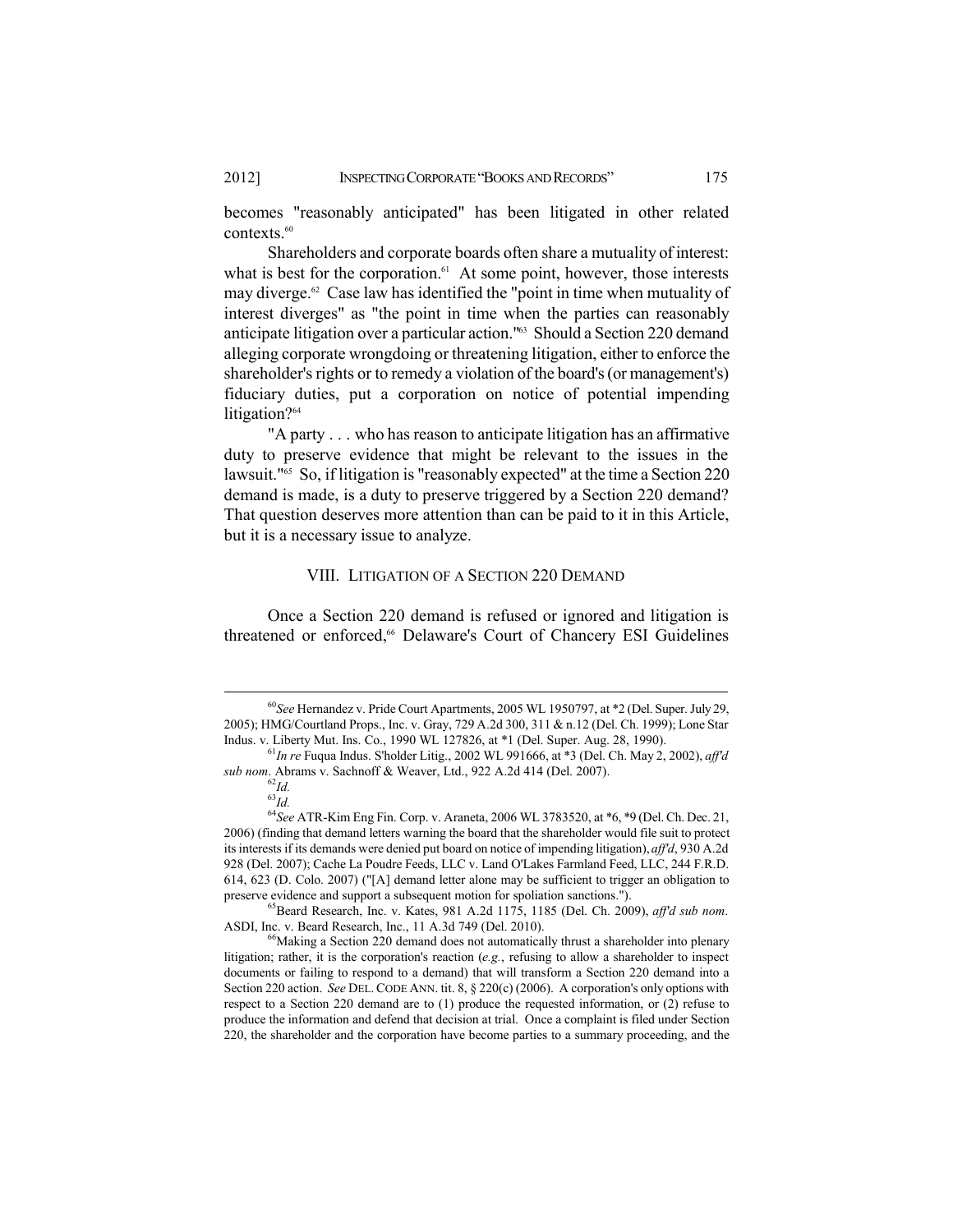becomes "reasonably anticipated" has been litigated in other related contexts.<sup>60</sup>

Shareholders and corporate boards often share a mutuality of interest: what is best for the corporation.<sup>61</sup> At some point, however, those interests may diverge.<sup>62</sup> Case law has identified the "point in time when mutuality of interest diverges" as "the point in time when the parties can reasonably anticipate litigation over a particular action."<sup>63</sup> Should a Section 220 demand alleging corporate wrongdoing or threatening litigation, either to enforce the shareholder's rights or to remedy a violation of the board's (or management's) fiduciary duties, put a corporation on notice of potential impending litigation?<sup>64</sup>

"A party . . . who has reason to anticipate litigation has an affirmative duty to preserve evidence that might be relevant to the issues in the lawsuit."<sup>65</sup> So, if litigation is "reasonably expected" at the time a Section 220 demand is made, is a duty to preserve triggered by a Section 220 demand? That question deserves more attention than can be paid to it in this Article, but it is a necessary issue to analyze.

## VIII. LITIGATION OF A SECTION 220 DEMAND

Once a Section 220 demand is refused or ignored and litigation is threatened or enforced,<sup>66</sup> Delaware's Court of Chancery ESI Guidelines

 $^{65}$ Beard Research, Inc. v. Kates, 981 A.2d 1175, 1185 (Del. Ch. 2009), aff'd sub nom. ASDI, Inc. v. Beard Research, Inc., 11 A.3d 749 (Del. 2010).

<sup>&</sup>lt;sup>60</sup>See Hernandez v. Pride Court Apartments, 2005 WL 1950797, at \*2 (Del. Super. July 29, 2005); HMG/Courtland Props., Inc. v. Gray, 729 A.2d 300, 311 & n.12 (Del. Ch. 1999); Lone Star Indus. v. Liberty Mut. Ins. Co., 1990 WL 127826, at \*1 (Del. Super. Aug. 28, 1990).

 $^{61}$ In re Fuqua Indus. S'holder Litig., 2002 WL 991666, at \*3 (Del. Ch. May 2, 2002), aff'd sub nom. Abrams v. Sachnoff & Weaver, Ltd., 922 A.2d 414 (Del. 2007).

 $^{62}$ Id.

 $^{63}\!Id.$ 

<sup>&</sup>lt;sup>64</sup>See ATR-Kim Eng Fin. Corp. v. Araneta, 2006 WL 3783520, at \*6, \*9 (Del. Ch. Dec. 21, 2006) (finding that demand letters warning the board that the shareholder would file suit to protect its interests if its demands were denied put board on notice of impending litigation), aff'd, 930 A.2d 928 (Del. 2007); Cache La Poudre Feeds, LLC v. Land O'Lakes Farmland Feed, LLC, 244 F.R.D. 614, 623 (D. Colo. 2007) ("[A] demand letter alone may be sufficient to trigger an obligation to preserve evidence and support a subsequent motion for spoliation sanctions.").

<sup>&</sup>lt;sup>66</sup>Making a Section 220 demand does not automatically thrust a shareholder into plenary litigation; rather, it is the corporation's reaction (e.g., refusing to allow a shareholder to inspect documents or failing to respond to a demand) that will transform a Section 220 demand into a Section 220 action. See DEL. CODE ANN. tit. 8, § 220(c) (2006). A corporation's only options with respect to a Section 220 demand are to  $(1)$  produce the requested information, or  $(2)$  refuse to produce the information and defend that decision at trial. Once a complaint is filed under Section 220, the shareholder and the corporation have become parties to a summary proceeding, and the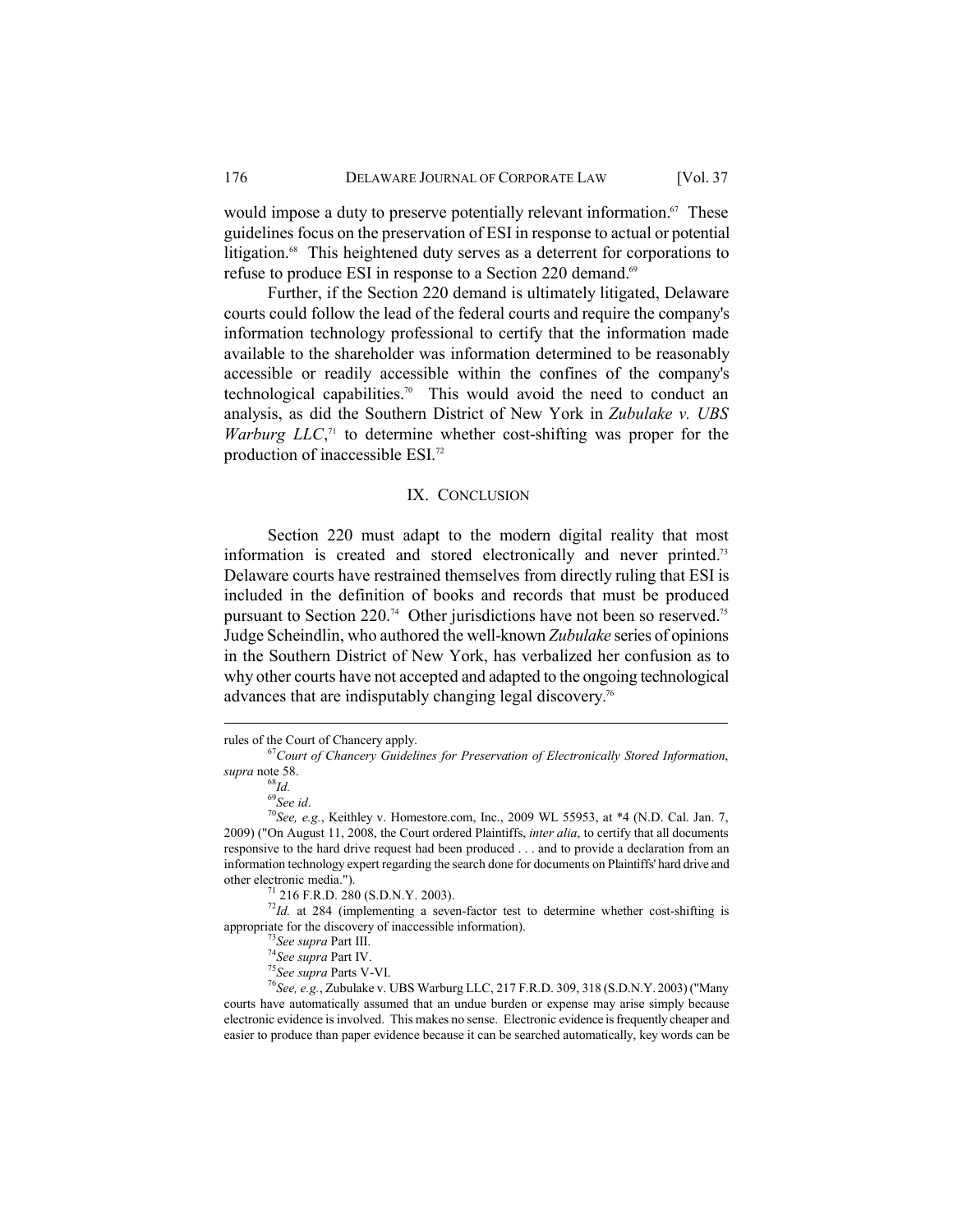would impose a duty to preserve potentially relevant information.<sup>67</sup> These guidelines focus on the preservation of ESI in response to actual or potential litigation.<sup>68</sup> This heightened duty serves as a deterrent for corporations to refuse to produce ESI in response to a Section 220 demand.<sup>69</sup>

Further, if the Section 220 demand is ultimately litigated, Delaware courts could follow the lead of the federal courts and require the company's information technology professional to certify that the information made available to the shareholder was information determined to be reasonably accessible or readily accessible within the confines of the company's technological capabilities.<sup>70</sup> This would avoid the need to conduct an analysis, as did the Southern District of New York in Zubulake v. UBS *Warburg LLC*,<sup> $\pi$ </sup> to determine whether cost-shifting was proper for the production of inaccessible ESI.<sup>72</sup>

#### IX. CONCLUSION

Section 220 must adapt to the modern digital reality that most information is created and stored electronically and never printed.<sup>73</sup> Delaware courts have restrained themselves from directly ruling that ESI is included in the definition of books and records that must be produced pursuant to Section 220.<sup>74</sup> Other jurisdictions have not been so reserved.<sup>75</sup> Judge Scheindlin, who authored the well-known Zubulake series of opinions in the Southern District of New York, has verbalized her confusion as to why other courts have not accepted and adapted to the ongoing technological advances that are indisputably changing legal discovery.<sup>76</sup>

 $^{72}$ Id. at 284 (implementing a seven-factor test to determine whether cost-shifting is appropriate for the discovery of inaccessible information).

rules of the Court of Chancery apply.

<sup>&</sup>lt;sup>67</sup>Court of Chancery Guidelines for Preservation of Electronically Stored Information, supra note 58.

 $^{68}$ Id.

 $69$ See id.

 $^{70}$ See, e.g., Keithley v. Homestore.com, Inc., 2009 WL 55953, at \*4 (N.D. Cal. Jan. 7, 2009) ("On August 11, 2008, the Court ordered Plaintiffs, *inter alia*, to certify that all documents responsive to the hard drive request had been produced . . . and to provide a declaration from an information technology expert regarding the search done for documents on Plaintiffs' hard drive and other electronic media.").

 $71$  216 F.R.D. 280 (S.D.N.Y. 2003).

 $^{73}$ See supra Part III.

 $74$ See supra Part IV.

<sup>&</sup>lt;sup>75</sup>See supra Parts V-VI.

<sup>&</sup>lt;sup>76</sup>See, e.g., Zubulake v. UBS Warburg LLC, 217 F.R.D. 309, 318 (S.D.N.Y. 2003) ("Many courts have automatically assumed that an undue burden or expense may arise simply because electronic evidence is involved. This makes no sense. Electronic evidence is frequently cheaper and easier to produce than paper evidence because it can be searched automatically, key words can be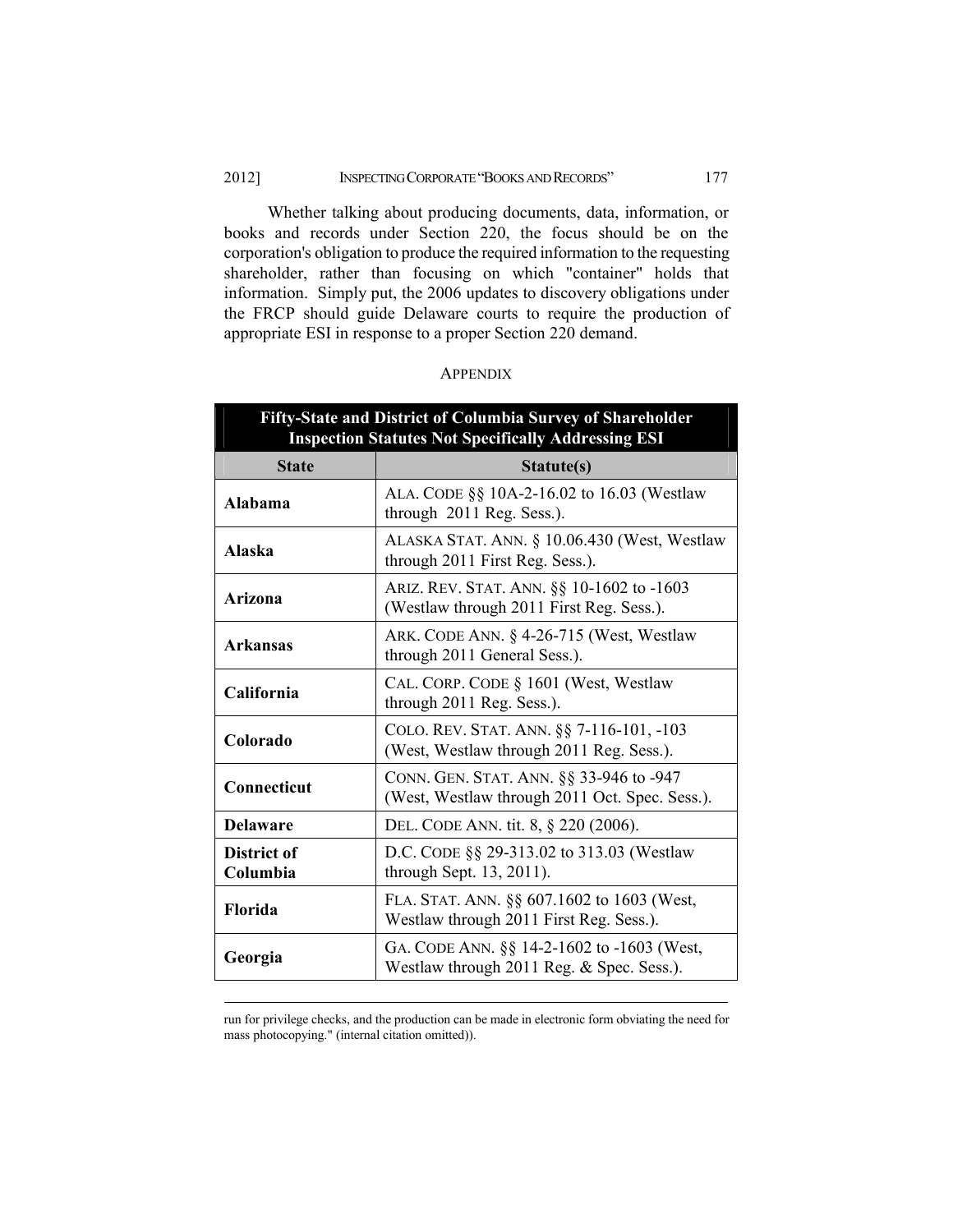#### 2012] **INSPECTING CORPORATE "BOOKS AND RECORDS"** 177

Whether talking about producing documents, data, information, or books and records under Section 220, the focus should be on the corporation's obligation to produce the required information to the requesting shareholder, rather than focusing on which "container" holds that information. Simply put, the 2006 updates to discovery obligations under the FRCP should guide Delaware courts to require the production of appropriate ESI in response to a proper Section 220 demand.

| <b>Fifty-State and District of Columbia Survey of Shareholder</b><br><b>Inspection Statutes Not Specifically Addressing ESI</b> |                                                                                           |  |
|---------------------------------------------------------------------------------------------------------------------------------|-------------------------------------------------------------------------------------------|--|
| <b>State</b>                                                                                                                    | Statute(s)                                                                                |  |
| Alabama                                                                                                                         | ALA. CODE §§ 10A-2-16.02 to 16.03 (Westlaw<br>through 2011 Reg. Sess.).                   |  |
| Alaska                                                                                                                          | ALASKA STAT. ANN. § 10.06.430 (West, Westlaw<br>through 2011 First Reg. Sess.).           |  |
| Arizona                                                                                                                         | ARIZ. REV. STAT. ANN. §§ 10-1602 to -1603<br>(Westlaw through 2011 First Reg. Sess.).     |  |
| <b>Arkansas</b>                                                                                                                 | ARK. CODE ANN. § 4-26-715 (West, Westlaw<br>through 2011 General Sess.).                  |  |
| California                                                                                                                      | CAL. CORP. CODE § 1601 (West, Westlaw<br>through 2011 Reg. Sess.).                        |  |
| Colorado                                                                                                                        | COLO. REV. STAT. ANN. §§ 7-116-101, -103<br>(West, Westlaw through 2011 Reg. Sess.).      |  |
| Connecticut                                                                                                                     | CONN. GEN. STAT. ANN. §§ 33-946 to -947<br>(West, Westlaw through 2011 Oct. Spec. Sess.). |  |
| <b>Delaware</b>                                                                                                                 | DEL. CODE ANN. tit. 8, § 220 (2006).                                                      |  |
| District of<br>Columbia                                                                                                         | D.C. CODE §§ 29-313.02 to 313.03 (Westlaw<br>through Sept. 13, 2011).                     |  |
| Florida                                                                                                                         | FLA. STAT. ANN. §§ 607.1602 to 1603 (West,<br>Westlaw through 2011 First Reg. Sess.).     |  |
| Georgia                                                                                                                         | GA. CODE ANN. §§ 14-2-1602 to -1603 (West,<br>Westlaw through 2011 Reg. & Spec. Sess.).   |  |

### **APPENDIX**

run for privilege checks, and the production can be made in electronic form obviating the need for mass photocopying." (internal citation omitted)).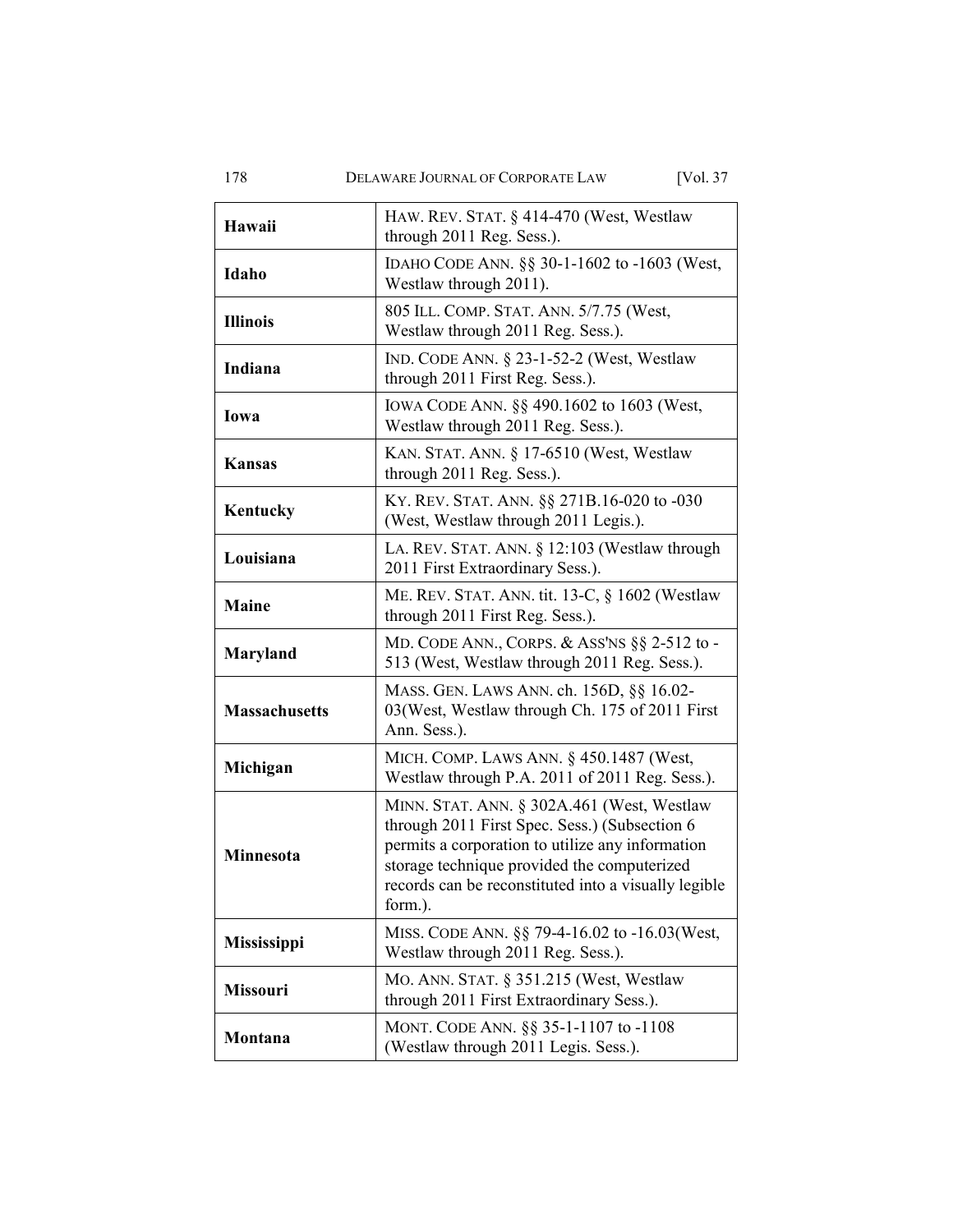DELAWARE JOURNAL OF CORPORATE LAW

[Vol. 37

| Hawaii               | HAW. REV. STAT. § 414-470 (West, Westlaw<br>through 2011 Reg. Sess.).                                                                                                                                                                                             |
|----------------------|-------------------------------------------------------------------------------------------------------------------------------------------------------------------------------------------------------------------------------------------------------------------|
| Idaho                | IDAHO CODE ANN. §§ 30-1-1602 to -1603 (West,<br>Westlaw through 2011).                                                                                                                                                                                            |
| <b>Illinois</b>      | 805 ILL. COMP. STAT. ANN. 5/7.75 (West,<br>Westlaw through 2011 Reg. Sess.).                                                                                                                                                                                      |
| Indiana              | IND. CODE ANN. $\S$ 23-1-52-2 (West, Westlaw<br>through 2011 First Reg. Sess.).                                                                                                                                                                                   |
| lowa                 | IOWA CODE ANN. §§ 490.1602 to 1603 (West,<br>Westlaw through 2011 Reg. Sess.).                                                                                                                                                                                    |
| Kansas               | KAN. STAT. ANN. § 17-6510 (West, Westlaw<br>through 2011 Reg. Sess.).                                                                                                                                                                                             |
| Kentucky             | KY. REV. STAT. ANN. §§ 271B.16-020 to -030<br>(West, Westlaw through 2011 Legis.).                                                                                                                                                                                |
| Louisiana            | LA. REV. STAT. ANN. § 12:103 (Westlaw through<br>2011 First Extraordinary Sess.).                                                                                                                                                                                 |
| Maine                | ME. REV. STAT. ANN. tit. 13-C, § 1602 (Westlaw<br>through 2011 First Reg. Sess.).                                                                                                                                                                                 |
| Maryland             | MD. CODE ANN., CORPS. & ASS'NS §§ 2-512 to -<br>513 (West, Westlaw through 2011 Reg. Sess.).                                                                                                                                                                      |
| <b>Massachusetts</b> | MASS. GEN. LAWS ANN. ch. 156D, §§ 16.02-<br>03 (West, Westlaw through Ch. 175 of 2011 First<br>Ann. Sess.).                                                                                                                                                       |
| Michigan             | MICH. COMP. LAWS ANN. § 450.1487 (West,<br>Westlaw through P.A. 2011 of 2011 Reg. Sess.).                                                                                                                                                                         |
| Minnesota            | MINN. STAT. ANN. § 302A.461 (West, Westlaw<br>through 2011 First Spec. Sess.) (Subsection 6<br>permits a corporation to utilize any information<br>storage technique provided the computerized<br>records can be reconstituted into a visually legible<br>form.). |
| Mississippi          | MISS. CODE ANN. §§ 79-4-16.02 to -16.03(West,<br>Westlaw through 2011 Reg. Sess.).                                                                                                                                                                                |
| Missouri             | MO. ANN. STAT. § 351.215 (West, Westlaw<br>through 2011 First Extraordinary Sess.).                                                                                                                                                                               |
| Montana              | MONT. CODE ANN. §§ 35-1-1107 to -1108<br>(Westlaw through 2011 Legis. Sess.).                                                                                                                                                                                     |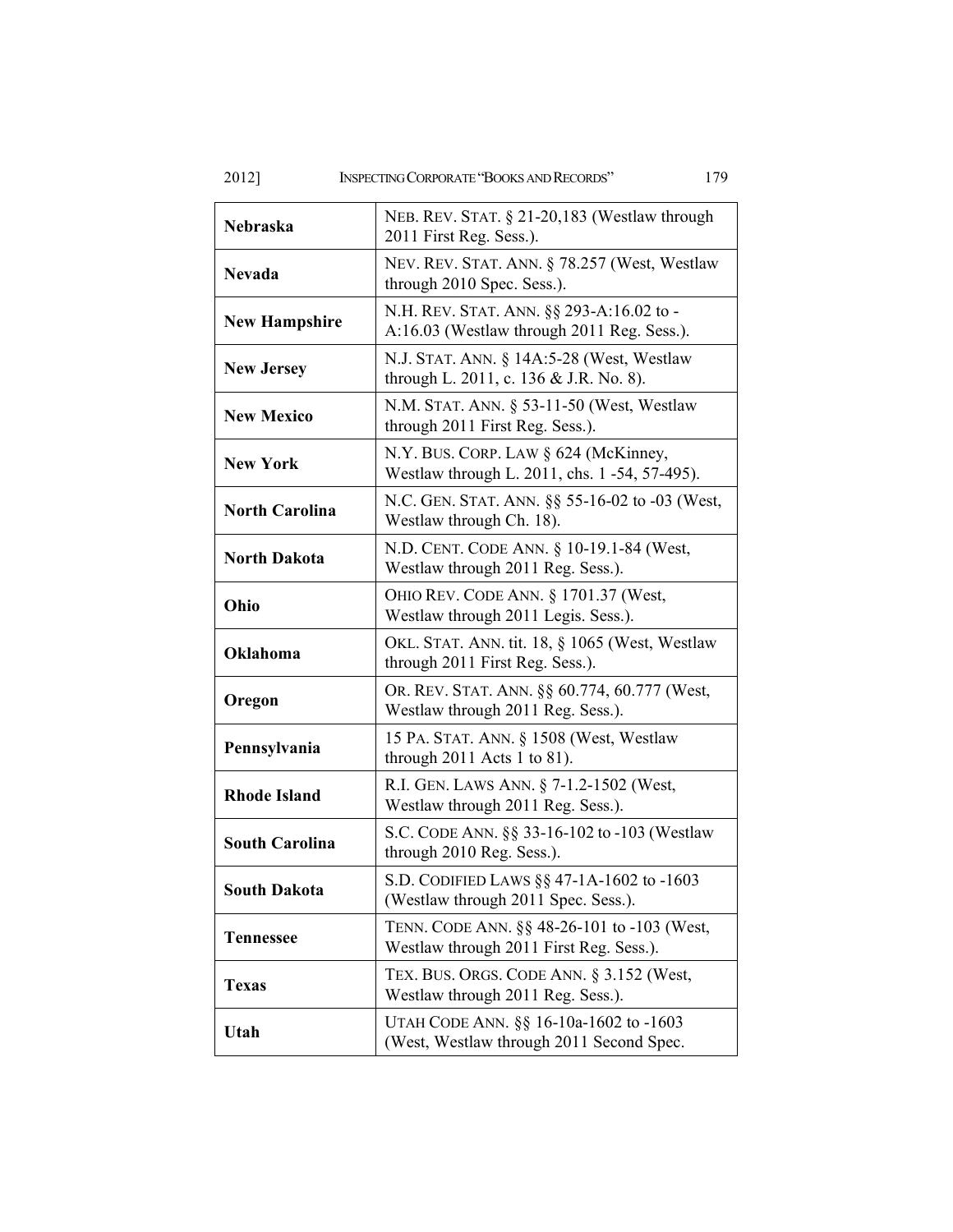2012] INSPECTING CORPORATE "BOOKS AND RECORDS"

| Nebraska              | NEB. REV. STAT. § 21-20,183 (Westlaw through<br>2011 First Reg. Sess.).                |
|-----------------------|----------------------------------------------------------------------------------------|
| <b>Nevada</b>         | NEV. REV. STAT. ANN. § 78.257 (West, Westlaw<br>through 2010 Spec. Sess.).             |
| <b>New Hampshire</b>  | N.H. REV. STAT. ANN. §§ 293-A:16.02 to -<br>A:16.03 (Westlaw through 2011 Reg. Sess.). |
| <b>New Jersey</b>     | N.J. STAT. ANN. § 14A:5-28 (West, Westlaw<br>through L. 2011, c. 136 & J.R. No. 8).    |
| <b>New Mexico</b>     | N.M. STAT. ANN. § 53-11-50 (West, Westlaw<br>through 2011 First Reg. Sess.).           |
| <b>New York</b>       | N.Y. BUS. CORP. LAW § 624 (McKinney,<br>Westlaw through L. 2011, chs. 1 -54, 57-495).  |
| <b>North Carolina</b> | N.C. GEN. STAT. ANN. §§ 55-16-02 to -03 (West,<br>Westlaw through Ch. 18).             |
| <b>North Dakota</b>   | N.D. CENT. CODE ANN. § 10-19.1-84 (West,<br>Westlaw through 2011 Reg. Sess.).          |
| Ohio                  | OHIO REV. CODE ANN. § 1701.37 (West,<br>Westlaw through 2011 Legis. Sess.).            |
| Oklahoma              | OKL. STAT. ANN. tit. 18, § 1065 (West, Westlaw<br>through 2011 First Reg. Sess.).      |
| Oregon                | OR. REV. STAT. ANN. §§ 60.774, 60.777 (West,<br>Westlaw through 2011 Reg. Sess.).      |
| Pennsylvania          | 15 PA. STAT. ANN. § 1508 (West, Westlaw<br>through $2011$ Acts 1 to 81).               |
| <b>Rhode Island</b>   | R.I. GEN. LAWS ANN. § 7-1.2-1502 (West,<br>Westlaw through 2011 Reg. Sess.).           |
| <b>South Carolina</b> | S.C. CODE ANN. §§ 33-16-102 to -103 (Westlaw<br>through 2010 Reg. Sess.).              |
| <b>South Dakota</b>   | S.D. CODIFIED LAWS $\S$ 47-1A-1602 to -1603<br>(Westlaw through 2011 Spec. Sess.).     |
| <b>Tennessee</b>      | TENN. CODE ANN. §§ 48-26-101 to -103 (West,<br>Westlaw through 2011 First Reg. Sess.). |
| <b>Texas</b>          | TEX. BUS. ORGS. CODE ANN. § 3.152 (West,<br>Westlaw through 2011 Reg. Sess.).          |
| Utah                  | UTAH CODE ANN. §§ 16-10a-1602 to -1603<br>(West, Westlaw through 2011 Second Spec.     |